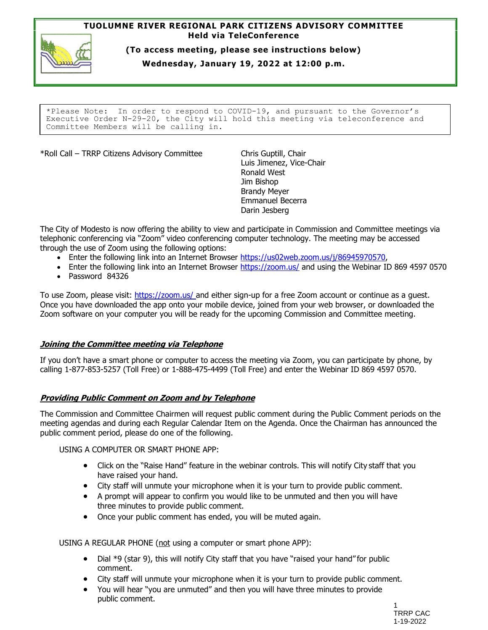### **TUOLUMNE RIVER REGIONAL PARK CITIZENS ADVISORY COMMITTEE Held via TeleConference**

**(To access meeting, please see instructions below)**

**Wednesday, January 19, 2022 at 12:00 p.m.**

\*Please Note: In order to respond to COVID-19, and pursuant to the Governor's Executive Order N-29-20, the City will hold this meeting via teleconference and Committee Members will be calling in.

\*Roll Call – TRRP Citizens Advisory Committee Chris Guptill, Chair

Luis Jimenez, Vice-Chair Ronald West Jim Bishop Brandy Meyer Emmanuel Becerra Darin Jesberg

The City of Modesto is now offering the ability to view and participate in Commission and Committee meetings via telephonic conferencing via "Zoom" video conferencing computer technology. The meeting may be accessed through the use of Zoom using the following options:

- Enter the following link into an Internet Browser [https://us02web.zoom.us/j/86945970570,](https://us02web.zoom.us/j/86945970570)
- Enter the following link into an Internet Browser<https://zoom.us/> and using the Webinar ID 869 4597 0570
- Password 84326

To use Zoom, please visit: [https://zoom.us/ a](https://zoom.us/)nd either sign-up for a free Zoom account or continue as a guest. Once you have downloaded the app onto your mobile device, joined from your web browser, or downloaded the Zoom software on your computer you will be ready for the upcoming Commission and Committee meeting.

### **Joining the Committee meeting via Telephone**

If you don't have a smart phone or computer to access the meeting via Zoom, you can participate by phone, by calling 1-877-853-5257 (Toll Free) or 1-888-475-4499 (Toll Free) and enter the Webinar ID 869 4597 0570.

### **Providing Public Comment on Zoom and by Telephone**

The Commission and Committee Chairmen will request public comment during the Public Comment periods on the meeting agendas and during each Regular Calendar Item on the Agenda. Once the Chairman has announced the public comment period, please do one of the following.

USING A COMPUTER OR SMART PHONE APP:

- Click on the "Raise Hand" feature in the webinar controls. This will notify City staff that you have raised your hand.
- City staff will unmute your microphone when it is your turn to provide public comment.
- A prompt will appear to confirm you would like to be unmuted and then you will have three minutes to provide public comment.
- Once your public comment has ended, you will be muted again.

USING A REGULAR PHONE (not using a computer or smart phone APP):

- Dial \*9 (star 9), this will notify City staff that you have "raised your hand" for public comment.
- City staff will unmute your microphone when it is your turn to provide public comment.
- You will hear "you are unmuted" and then you will have three minutes to provide public comment.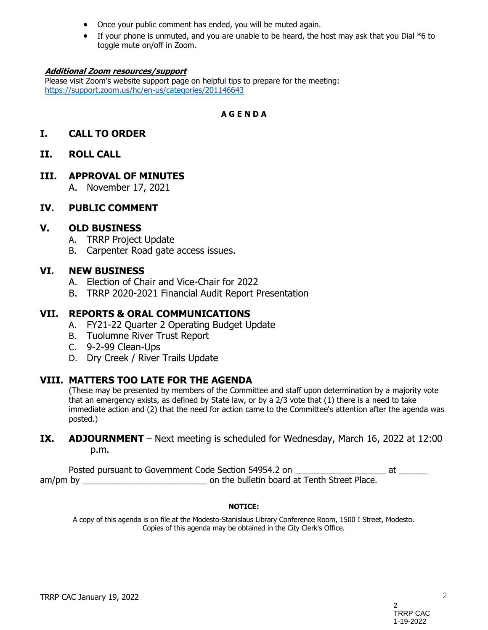- Once your public comment has ended, you will be muted again.
- If your phone is unmuted, and you are unable to be heard, the host may ask that you Dial  $*6$  to toggle mute on/off in Zoom.

### **Additional Zoom resources/support**

Please visit Zoom's website support page on helpful tips to prepare for the meeting: <https://support.zoom.us/hc/en-us/categories/201146643>

### **A G E N D A**

# **I. CALL TO ORDER**

**II. ROLL CALL**

### **III. APPROVAL OF MINUTES**

- A. November 17, 2021
- **IV. PUBLIC COMMENT**

### **V. OLD BUSINESS**

- A. TRRP Project Update
- B. Carpenter Road gate access issues.

### **VI. NEW BUSINESS**

- A. Election of Chair and Vice-Chair for 2022
- B. TRRP 2020-2021 Financial Audit Report Presentation

### **VII. REPORTS & ORAL COMMUNICATIONS**

- A. FY21-22 Quarter 2 Operating Budget Update
- B. Tuolumne River Trust Report
- C. 9-2-99 Clean-Ups
- D. Dry Creek / River Trails Update

### **VIII. MATTERS TOO LATE FOR THE AGENDA**

(These may be presented by members of the Committee and staff upon determination by a majority vote that an emergency exists, as defined by State law, or by a 2/3 vote that (1) there is a need to take immediate action and (2) that the need for action came to the Committee's attention after the agenda was posted.)

### **IX. ADJOURNMENT** – Next meeting is scheduled for Wednesday, March 16, 2022 at 12:00 p.m.

Posted pursuant to Government Code Section 54954.2 on \_\_\_\_\_\_\_\_\_\_\_\_\_\_\_\_\_\_\_\_\_\_\_\_\_ at \_\_\_\_\_\_\_ am/pm by **Example 2** on the bulletin board at Tenth Street Place.

### **NOTICE:**

A copy of this agenda is on file at the Modesto-Stanislaus Library Conference Room, 1500 I Street, Modesto. Copies of this agenda may be obtained in the City Clerk's Office.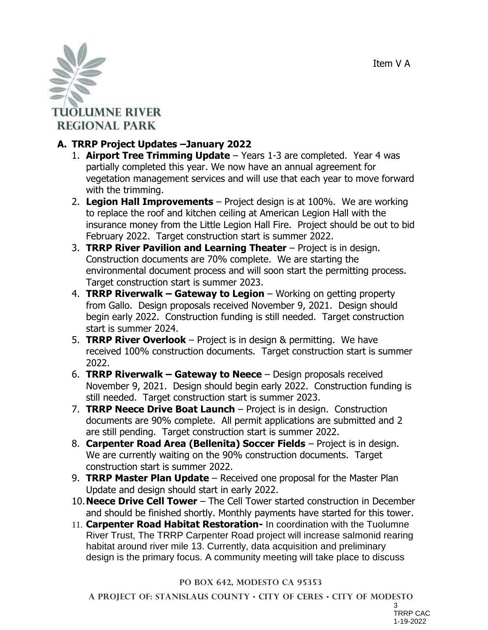

# **A. TRRP Project Updates –January 2022**

- 1. **Airport Tree Trimming Update** Years 1-3 are completed. Year 4 was partially completed this year. We now have an annual agreement for vegetation management services and will use that each year to move forward with the trimming.
- 2. **Legion Hall Improvements** Project design is at 100%. We are working to replace the roof and kitchen ceiling at American Legion Hall with the insurance money from the Little Legion Hall Fire. Project should be out to bid February 2022. Target construction start is summer 2022.
- 3. **TRRP River Pavilion and Learning Theater** Project is in design. Construction documents are 70% complete. We are starting the environmental document process and will soon start the permitting process. Target construction start is summer 2023.
- 4. **TRRP Riverwalk – Gateway to Legion** Working on getting property from Gallo. Design proposals received November 9, 2021. Design should begin early 2022. Construction funding is still needed. Target construction start is summer 2024.
- 5. **TRRP River Overlook** Project is in design & permitting. We have received 100% construction documents. Target construction start is summer 2022.
- 6. **TRRP Riverwalk – Gateway to Neece** Design proposals received November 9, 2021. Design should begin early 2022. Construction funding is still needed. Target construction start is summer 2023.
- 7. **TRRP Neece Drive Boat Launch** Project is in design. Construction documents are 90% complete. All permit applications are submitted and 2 are still pending. Target construction start is summer 2022.
- 8. **Carpenter Road Area (Bellenita) Soccer Fields** Project is in design. We are currently waiting on the 90% construction documents. Target construction start is summer 2022.
- 9. **TRRP Master Plan Update** Received one proposal for the Master Plan Update and design should start in early 2022.
- 10.**Neece Drive Cell Tower** The Cell Tower started construction in December and should be finished shortly. Monthly payments have started for this tower.
- 11. **Carpenter Road Habitat Restoration-** In coordination with the Tuolumne River Trust, The TRRP Carpenter Road project will increase salmonid rearing habitat around river mile 13. Currently, data acquisition and preliminary design is the primary focus. A community meeting will take place to discuss

# **PO BOX 642, MODESTO CA 9535 3**

**A Project of: STANISLAUS COUNTY CITY OF CERES CITY OF MODESTO**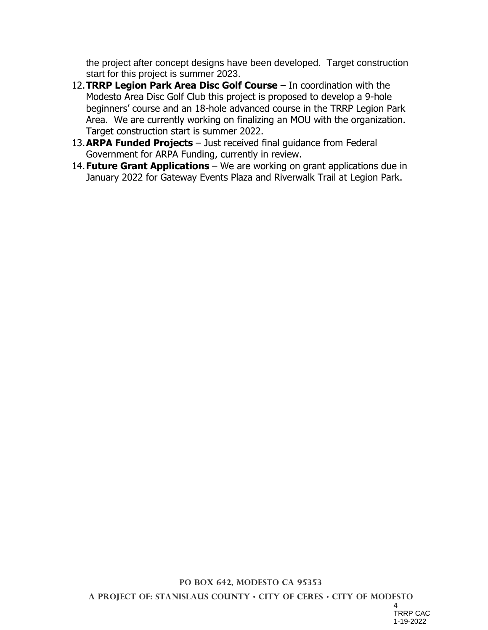the project after concept designs have been developed. Target construction start for this project is summer 2023.

- 12.**TRRP Legion Park Area Disc Golf Course**  In coordination with the Modesto Area Disc Golf Club this project is proposed to develop a 9-hole beginners' course and an 18-hole advanced course in the TRRP Legion Park Area. We are currently working on finalizing an MOU with the organization. Target construction start is summer 2022.
- 13.**ARPA Funded Projects**  Just received final guidance from Federal Government for ARPA Funding, currently in review.
- 14.**Future Grant Applications**  We are working on grant applications due in January 2022 for Gateway Events Plaza and Riverwalk Trail at Legion Park.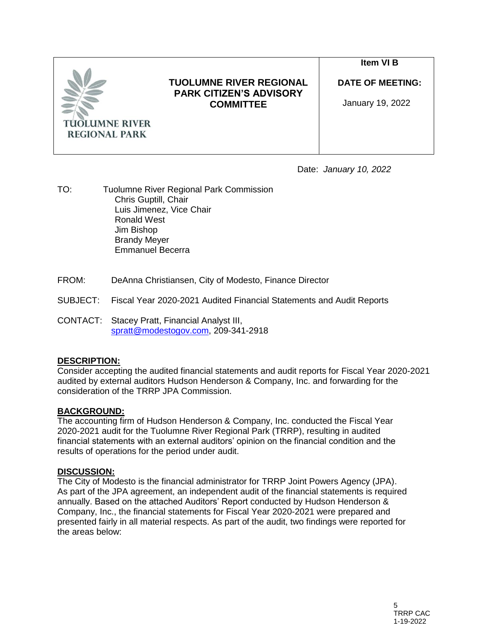

# **TUOLUMNE RIVER REGIONAL PARK CITIZEN'S ADVISORY COMMITTEE**

**Item VI B**

**DATE OF MEETING:**

January 19, 2022

Date: *January 10, 2022*

- TO: Tuolumne River Regional Park Commission Chris Guptill, Chair Luis Jimenez, Vice Chair Ronald West Jim Bishop Brandy Meyer Emmanuel Becerra
- FROM: DeAnna Christiansen, City of Modesto, Finance Director
- SUBJECT: Fiscal Year 2020-2021 Audited Financial Statements and Audit Reports
- CONTACT: Stacey Pratt, Financial Analyst III, [spratt@modestogov.com,](mailto:spratt@modestogov.com) 209-341-2918

### **DESCRIPTION:**

Consider accepting the audited financial statements and audit reports for Fiscal Year 2020-2021 audited by external auditors Hudson Henderson & Company, Inc. and forwarding for the consideration of the TRRP JPA Commission.

### **BACKGROUND:**

The accounting firm of Hudson Henderson & Company, Inc. conducted the Fiscal Year 2020-2021 audit for the Tuolumne River Regional Park (TRRP), resulting in audited financial statements with an external auditors' opinion on the financial condition and the results of operations for the period under audit.

### **DISCUSSION:**

The City of Modesto is the financial administrator for TRRP Joint Powers Agency (JPA). As part of the JPA agreement, an independent audit of the financial statements is required annually. Based on the attached Auditors' Report conducted by Hudson Henderson & Company, Inc., the financial statements for Fiscal Year 2020-2021 were prepared and presented fairly in all material respects. As part of the audit, two findings were reported for the areas below:

> 5 TRRP CAC 1-19-2022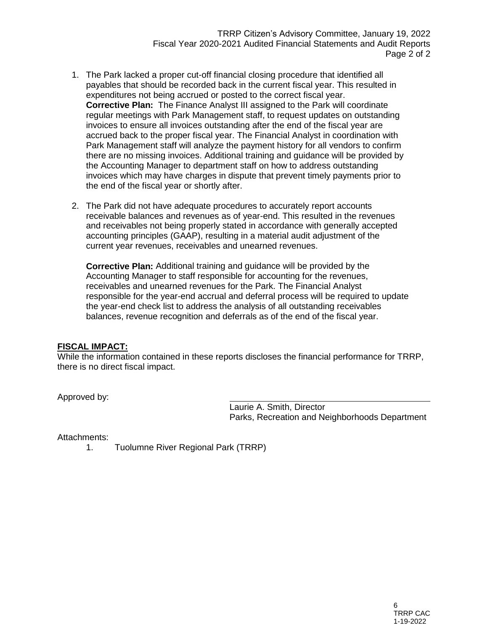- 1. The Park lacked a proper cut-off financial closing procedure that identified all payables that should be recorded back in the current fiscal year. This resulted in expenditures not being accrued or posted to the correct fiscal year. **Corrective Plan:** The Finance Analyst III assigned to the Park will coordinate regular meetings with Park Management staff, to request updates on outstanding invoices to ensure all invoices outstanding after the end of the fiscal year are accrued back to the proper fiscal year. The Financial Analyst in coordination with Park Management staff will analyze the payment history for all vendors to confirm there are no missing invoices. Additional training and guidance will be provided by the Accounting Manager to department staff on how to address outstanding invoices which may have charges in dispute that prevent timely payments prior to the end of the fiscal year or shortly after.
- 2. The Park did not have adequate procedures to accurately report accounts receivable balances and revenues as of year-end. This resulted in the revenues and receivables not being properly stated in accordance with generally accepted accounting principles (GAAP), resulting in a material audit adjustment of the current year revenues, receivables and unearned revenues.

**Corrective Plan:** Additional training and guidance will be provided by the Accounting Manager to staff responsible for accounting for the revenues, receivables and unearned revenues for the Park. The Financial Analyst responsible for the year-end accrual and deferral process will be required to update the year-end check list to address the analysis of all outstanding receivables balances, revenue recognition and deferrals as of the end of the fiscal year.

### **FISCAL IMPACT:**

While the information contained in these reports discloses the financial performance for TRRP, there is no direct fiscal impact.

Approved by:

Laurie A. Smith, Director Parks, Recreation and Neighborhoods Department

Attachments:

1. Tuolumne River Regional Park (TRRP)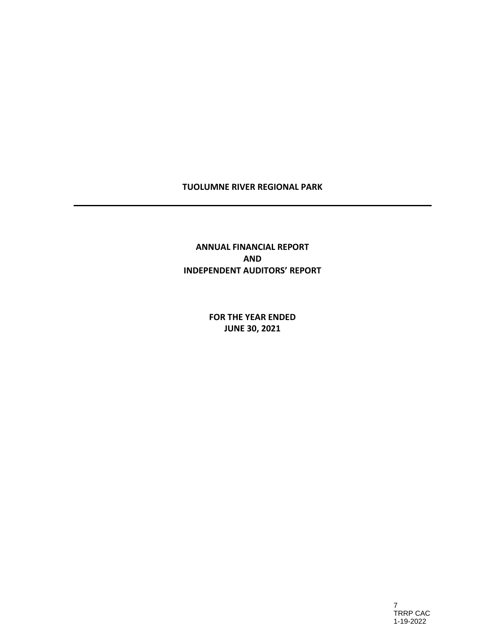### **TUOLUMNE RIVER REGIONAL PARK**

**ANNUAL FINANCIAL REPORT AND INDEPENDENT AUDITORS' REPORT**

> **FOR THE YEAR ENDED JUNE 30, 2021**

> > 7 TRRP CAC 1-19-2022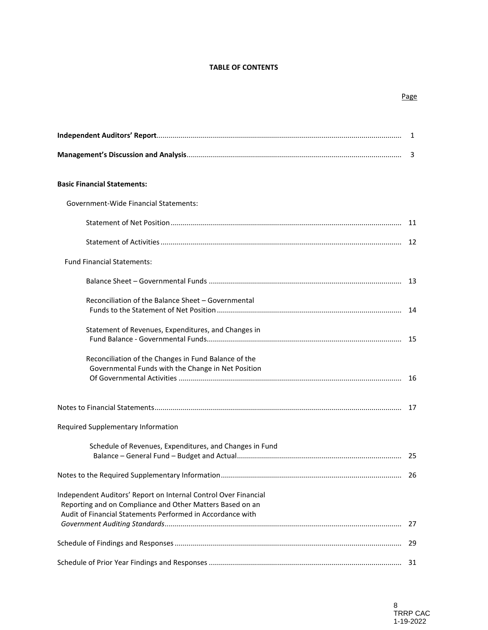#### **TABLE OF CONTENTS**

#### Page

| <b>Basic Financial Statements:</b>                                                                                                                                                         |    |
|--------------------------------------------------------------------------------------------------------------------------------------------------------------------------------------------|----|
| <b>Government-Wide Financial Statements:</b>                                                                                                                                               |    |
|                                                                                                                                                                                            |    |
|                                                                                                                                                                                            |    |
| <b>Fund Financial Statements:</b>                                                                                                                                                          |    |
|                                                                                                                                                                                            |    |
| Reconciliation of the Balance Sheet - Governmental                                                                                                                                         |    |
| Statement of Revenues, Expenditures, and Changes in                                                                                                                                        |    |
| Reconciliation of the Changes in Fund Balance of the                                                                                                                                       |    |
| Governmental Funds with the Change in Net Position                                                                                                                                         |    |
|                                                                                                                                                                                            |    |
| Required Supplementary Information                                                                                                                                                         |    |
| Schedule of Revenues, Expenditures, and Changes in Fund                                                                                                                                    |    |
|                                                                                                                                                                                            |    |
| Independent Auditors' Report on Internal Control Over Financial<br>Reporting and on Compliance and Other Matters Based on an<br>Audit of Financial Statements Performed in Accordance with |    |
|                                                                                                                                                                                            | 27 |
|                                                                                                                                                                                            |    |
|                                                                                                                                                                                            |    |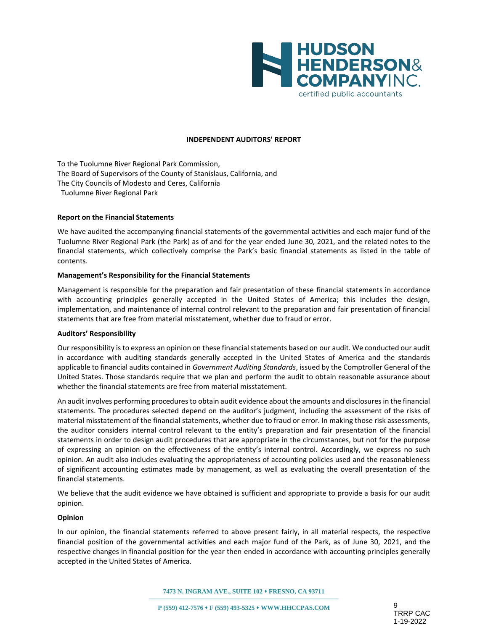

#### **INDEPENDENT AUDITORS' REPORT**

To the Tuolumne River Regional Park Commission, The Board of Supervisors of the County of Stanislaus, California, and The City Councils of Modesto and Ceres, California Tuolumne River Regional Park

#### **Report on the Financial Statements**

We have audited the accompanying financial statements of the governmental activities and each major fund of the Tuolumne River Regional Park (the Park) as of and for the year ended June 30, 2021, and the related notes to the financial statements, which collectively comprise the Park's basic financial statements as listed in the table of contents.

#### **Management's Responsibility for the Financial Statements**

Management is responsible for the preparation and fair presentation of these financial statements in accordance with accounting principles generally accepted in the United States of America; this includes the design, implementation, and maintenance of internal control relevant to the preparation and fair presentation of financial statements that are free from material misstatement, whether due to fraud or error.

#### **Auditors' Responsibility**

Our responsibility is to express an opinion on these financial statements based on our audit. We conducted our audit in accordance with auditing standards generally accepted in the United States of America and the standards applicable to financial audits contained in *Government Auditing Standards*, issued by the Comptroller General of the United States. Those standards require that we plan and perform the audit to obtain reasonable assurance about whether the financial statements are free from material misstatement.

An audit involves performing procedures to obtain audit evidence about the amounts and disclosures in the financial statements. The procedures selected depend on the auditor's judgment, including the assessment of the risks of material misstatement of the financial statements, whether due to fraud or error. In making those risk assessments, the auditor considers internal control relevant to the entity's preparation and fair presentation of the financial statements in order to design audit procedures that are appropriate in the circumstances, but not for the purpose of expressing an opinion on the effectiveness of the entity's internal control. Accordingly, we express no such opinion. An audit also includes evaluating the appropriateness of accounting policies used and the reasonableness of significant accounting estimates made by management, as well as evaluating the overall presentation of the financial statements.

We believe that the audit evidence we have obtained is sufficient and appropriate to provide a basis for our audit opinion.

#### **Opinion**

In our opinion, the financial statements referred to above present fairly, in all material respects, the respective financial position of the governmental activities and each major fund of the Park, as of June 30, 2021, and the respective changes in financial position for the year then ended in accordance with accounting principles generally accepted in the United States of America.

**7473 N. INGRAM AVE., SUITE 102** ⬧ **FRESNO, CA 93711**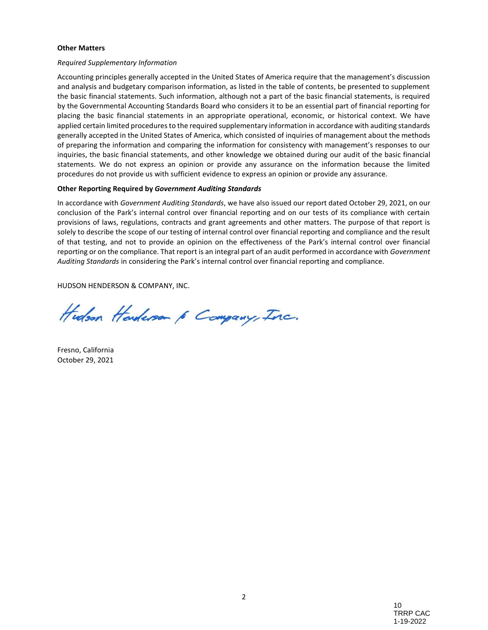#### **Other Matters**

#### *Required Supplementary Information*

Accounting principles generally accepted in the United States of America require that the management's discussion and analysis and budgetary comparison information, as listed in the table of contents, be presented to supplement the basic financial statements. Such information, although not a part of the basic financial statements, is required by the Governmental Accounting Standards Board who considers it to be an essential part of financial reporting for placing the basic financial statements in an appropriate operational, economic, or historical context. We have applied certain limited procedures to the required supplementary information in accordance with auditing standards generally accepted in the United States of America, which consisted of inquiries of management about the methods of preparing the information and comparing the information for consistency with management's responses to our inquiries, the basic financial statements, and other knowledge we obtained during our audit of the basic financial statements. We do not express an opinion or provide any assurance on the information because the limited procedures do not provide us with sufficient evidence to express an opinion or provide any assurance.

#### **Other Reporting Required by** *Government Auditing Standards*

In accordance with *Government Auditing Standards*, we have also issued our report dated October 29, 2021, on our conclusion of the Park's internal control over financial reporting and on our tests of its compliance with certain provisions of laws, regulations, contracts and grant agreements and other matters. The purpose of that report is solely to describe the scope of our testing of internal control over financial reporting and compliance and the result of that testing, and not to provide an opinion on the effectiveness of the Park's internal control over financial reporting or on the compliance. That report is an integral part of an audit performed in accordance with *Government Auditing Standards* in considering the Park's internal control over financial reporting and compliance.

HUDSON HENDERSON & COMPANY, INC.

Hudson Handerson 6 Campany, Inc.

Fresno, California October 29, 2021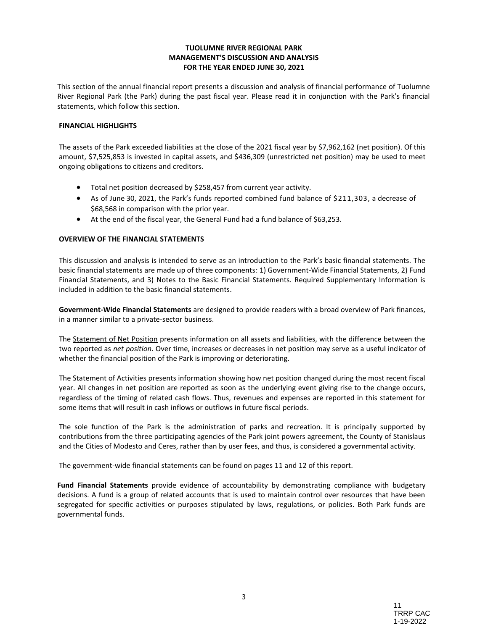This section of the annual financial report presents a discussion and analysis of financial performance of Tuolumne River Regional Park (the Park) during the past fiscal year. Please read it in conjunction with the Park's financial statements, which follow this section.

#### **FINANCIAL HIGHLIGHTS**

The assets of the Park exceeded liabilities at the close of the 2021 fiscal year by \$7,962,162 (net position). Of this amount, \$7,525,853 is invested in capital assets, and \$436,309 (unrestricted net position) may be used to meet ongoing obligations to citizens and creditors.

- Total net position decreased by \$258,457 from current year activity.
- As of June 30, 2021, the Park's funds reported combined fund balance of \$211,303, a decrease of \$68,568 in comparison with the prior year.
- At the end of the fiscal year, the General Fund had a fund balance of \$63,253.

#### **OVERVIEW OF THE FINANCIAL STATEMENTS**

This discussion and analysis is intended to serve as an introduction to the Park's basic financial statements. The basic financial statements are made up of three components: 1) Government-Wide Financial Statements, 2) Fund Financial Statements, and 3) Notes to the Basic Financial Statements. Required Supplementary Information is included in addition to the basic financial statements.

**Government-Wide Financial Statements** are designed to provide readers with a broad overview of Park finances, in a manner similar to a private-sector business.

The Statement of Net Position presents information on all assets and liabilities, with the difference between the two reported as *net position.* Over time, increases or decreases in net position may serve as a useful indicator of whether the financial position of the Park is improving or deteriorating.

The Statement of Activities presents information showing how net position changed during the most recent fiscal year. All changes in net position are reported as soon as the underlying event giving rise to the change occurs, regardless of the timing of related cash flows. Thus, revenues and expenses are reported in this statement for some items that will result in cash inflows or outflows in future fiscal periods.

The sole function of the Park is the administration of parks and recreation. It is principally supported by contributions from the three participating agencies of the Park joint powers agreement, the County of Stanislaus and the Cities of Modesto and Ceres, rather than by user fees, and thus, is considered a governmental activity.

The government-wide financial statements can be found on pages 11 and 12 of this report.

**Fund Financial Statements** provide evidence of accountability by demonstrating compliance with budgetary decisions. A fund is a group of related accounts that is used to maintain control over resources that have been segregated for specific activities or purposes stipulated by laws, regulations, or policies. Both Park funds are governmental funds.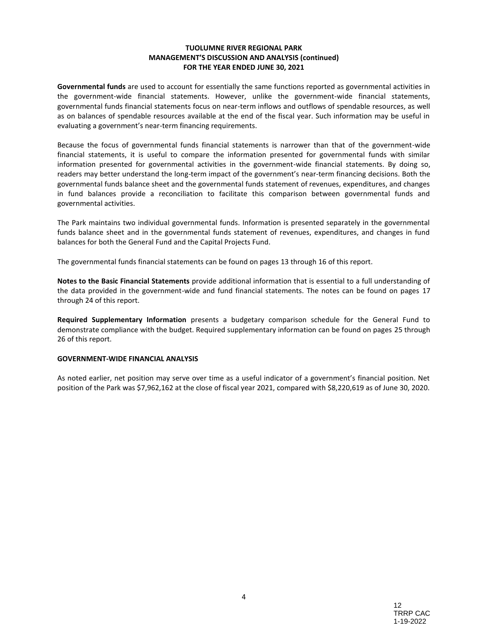**Governmental funds** are used to account for essentially the same functions reported as governmental activities in the government-wide financial statements. However, unlike the government-wide financial statements, governmental funds financial statements focus on near-term inflows and outflows of spendable resources, as well as on balances of spendable resources available at the end of the fiscal year. Such information may be useful in evaluating a government's near-term financing requirements.

Because the focus of governmental funds financial statements is narrower than that of the government-wide financial statements, it is useful to compare the information presented for governmental funds with similar information presented for governmental activities in the government-wide financial statements. By doing so, readers may better understand the long-term impact of the government's near-term financing decisions. Both the governmental funds balance sheet and the governmental funds statement of revenues, expenditures, and changes in fund balances provide a reconciliation to facilitate this comparison between governmental funds and governmental activities.

The Park maintains two individual governmental funds. Information is presented separately in the governmental funds balance sheet and in the governmental funds statement of revenues, expenditures, and changes in fund balances for both the General Fund and the Capital Projects Fund.

The governmental funds financial statements can be found on pages 13 through 16 of this report.

**Notes to the Basic Financial Statements** provide additional information that is essential to a full understanding of the data provided in the government-wide and fund financial statements. The notes can be found on pages 17 through 24 of this report.

**Required Supplementary Information** presents a budgetary comparison schedule for the General Fund to demonstrate compliance with the budget. Required supplementary information can be found on pages 25 through 26 of this report.

#### **GOVERNMENT-WIDE FINANCIAL ANALYSIS**

As noted earlier, net position may serve over time as a useful indicator of a government's financial position. Net position of the Park was \$7,962,162 at the close of fiscal year 2021, compared with \$8,220,619 as of June 30, 2020.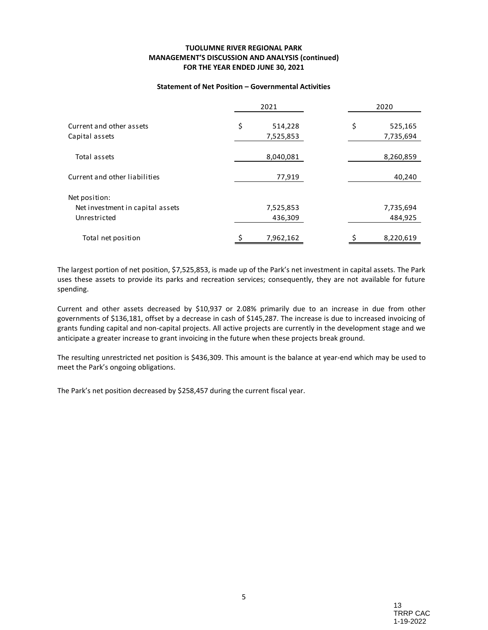#### **Statement of Net Position – Governmental Activities**

|                                                                   | 2021                       | 2020                       |  |  |
|-------------------------------------------------------------------|----------------------------|----------------------------|--|--|
| Current and other assets<br>Capital assets                        | \$<br>514,228<br>7,525,853 | \$<br>525,165<br>7,735,694 |  |  |
| Total assets                                                      | 8,040,081                  | 8,260,859                  |  |  |
| Current and other liabilities                                     | 77,919                     | 40,240                     |  |  |
| Net position:<br>Net investment in capital assets<br>Unrestricted | 7,525,853<br>436,309       | 7,735,694<br>484,925       |  |  |
| Total net position                                                | 7,962,162                  | 8,220,619                  |  |  |

The largest portion of net position, \$7,525,853, is made up of the Park's net investment in capital assets. The Park uses these assets to provide its parks and recreation services; consequently, they are not available for future spending.

Current and other assets decreased by \$10,937 or 2.08% primarily due to an increase in due from other governments of \$136,181, offset by a decrease in cash of \$145,287. The increase is due to increased invoicing of grants funding capital and non-capital projects. All active projects are currently in the development stage and we anticipate a greater increase to grant invoicing in the future when these projects break ground.

The resulting unrestricted net position is \$436,309. This amount is the balance at year-end which may be used to meet the Park's ongoing obligations.

The Park's net position decreased by \$258,457 during the current fiscal year.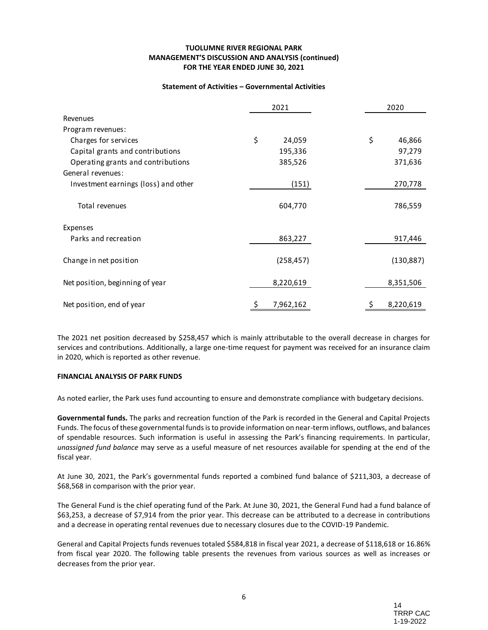#### **Statement of Activities – Governmental Activities**

|                                      | 2021         | 2020         |  |
|--------------------------------------|--------------|--------------|--|
| Revenues                             |              |              |  |
| Program revenues:                    |              |              |  |
| Charges for services                 | \$<br>24,059 | \$<br>46,866 |  |
| Capital grants and contributions     | 195,336      | 97,279       |  |
| Operating grants and contributions   | 385,526      | 371,636      |  |
| General revenues:                    |              |              |  |
| Investment earnings (loss) and other | (151)        | 270,778      |  |
|                                      |              |              |  |
| Total revenues                       | 604,770      | 786,559      |  |
|                                      |              |              |  |
| Expenses                             |              |              |  |
| Parks and recreation                 | 863,227      | 917,446      |  |
|                                      |              |              |  |
| Change in net position               | (258, 457)   | (130, 887)   |  |
|                                      |              |              |  |
| Net position, beginning of year      | 8,220,619    | 8,351,506    |  |
| Net position, end of year            | 7,962,162    | 8,220,619    |  |
|                                      |              |              |  |

The 2021 net position decreased by \$258,457 which is mainly attributable to the overall decrease in charges for services and contributions. Additionally, a large one-time request for payment was received for an insurance claim in 2020, which is reported as other revenue.

#### **FINANCIAL ANALYSIS OF PARK FUNDS**

As noted earlier, the Park uses fund accounting to ensure and demonstrate compliance with budgetary decisions.

**Governmental funds.** The parks and recreation function of the Park is recorded in the General and Capital Projects Funds. The focus of these governmental funds is to provide information on near-term inflows, outflows, and balances of spendable resources. Such information is useful in assessing the Park's financing requirements. In particular, *unassigned fund balance* may serve as a useful measure of net resources available for spending at the end of the fiscal year.

At June 30, 2021, the Park's governmental funds reported a combined fund balance of \$211,303, a decrease of \$68,568 in comparison with the prior year.

The General Fund is the chief operating fund of the Park. At June 30, 2021, the General Fund had a fund balance of \$63,253, a decrease of \$7,914 from the prior year. This decrease can be attributed to a decrease in contributions and a decrease in operating rental revenues due to necessary closures due to the COVID-19 Pandemic.

General and Capital Projects funds revenues totaled \$584,818 in fiscal year 2021, a decrease of \$118,618 or 16.86% from fiscal year 2020. The following table presents the revenues from various sources as well as increases or decreases from the prior year.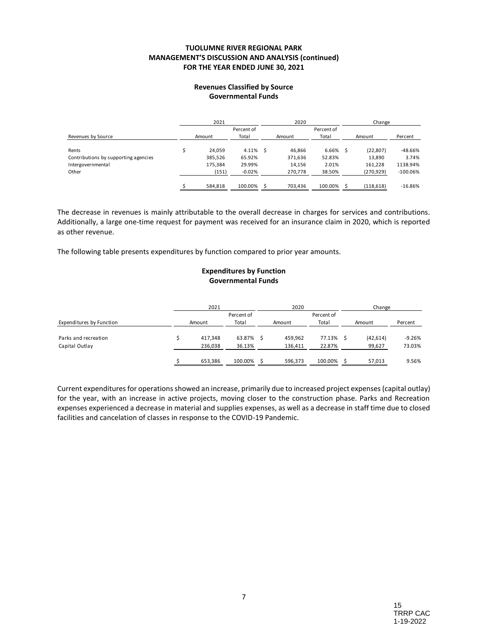#### **Revenues Classified by Source Governmental Funds**

|                                      | 2021    |             |  | 2020    |            |  | Change     |            |  |
|--------------------------------------|---------|-------------|--|---------|------------|--|------------|------------|--|
|                                      |         | Percent of  |  |         | Percent of |  |            |            |  |
| Revenues by Source                   | Amount  | Total       |  | Amount  | Total      |  | Amount     | Percent    |  |
| Rents                                | 24,059  | $4.11\%$ \$ |  | 46,866  | 6.66%      |  | (22, 807)  | $-48.66%$  |  |
| Contributions by supporting agencies | 385,526 | 65.92%      |  | 371,636 | 52.83%     |  | 13,890     | 3.74%      |  |
| Intergovernmental                    | 175,384 | 29.99%      |  | 14,156  | 2.01%      |  | 161,228    | 1138.94%   |  |
| Other                                | (151)   | $-0.02%$    |  | 270,778 | 38.50%     |  | (270,929)  | $-100.06%$ |  |
|                                      | 584,818 | 100.00%     |  | 703,436 | 100.00%    |  | (118, 618) | $-16.86%$  |  |
|                                      |         |             |  |         |            |  |            |            |  |

The decrease in revenues is mainly attributable to the overall decrease in charges for services and contributions. Additionally, a large one-time request for payment was received for an insurance claim in 2020, which is reported as other revenue.

The following table presents expenditures by function compared to prior year amounts.

#### **Expenditures by Function Governmental Funds**

|                          | 2021    |            |  | 2020    |            | Change    |          |  |
|--------------------------|---------|------------|--|---------|------------|-----------|----------|--|
|                          |         | Percent of |  |         | Percent of |           |          |  |
| Expenditures by Function | Amount  | Total      |  | Amount  | Total      | Amount    | Percent  |  |
| Parks and recreation     | 417,348 | 63.87%     |  | 459,962 | 77.13%     | (42, 614) | $-9.26%$ |  |
| Capital Outlay           | 236,038 | 36.13%     |  | 136,411 | 22.87%     | 99,627    | 73.03%   |  |
|                          | 653,386 | 100.00%    |  | 596.373 | 100.00%    | 57,013    | 9.56%    |  |

Current expenditures for operations showed an increase, primarily due to increased project expenses (capital outlay) for the year, with an increase in active projects, moving closer to the construction phase. Parks and Recreation expenses experienced a decrease in material and supplies expenses, as well as a decrease in staff time due to closed facilities and cancelation of classes in response to the COVID-19 Pandemic.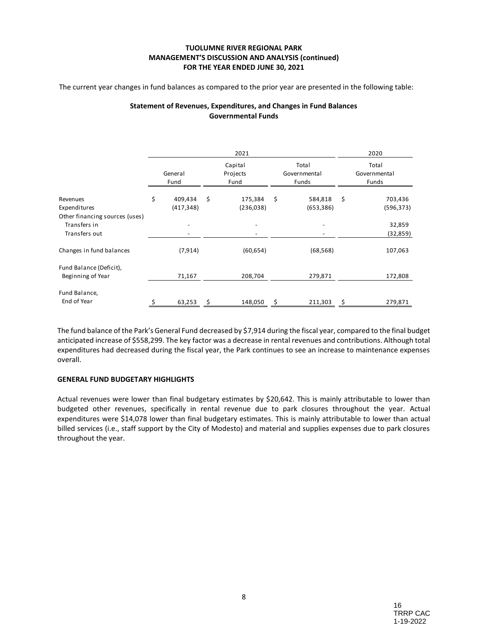The current year changes in fund balances as compared to the prior year are presented in the following table:

#### **Statement of Revenues, Expenditures, and Changes in Fund Balances Governmental Funds**

|                                              |    |                          | 2020                        |            |    |                                       |                                |            |
|----------------------------------------------|----|--------------------------|-----------------------------|------------|----|---------------------------------------|--------------------------------|------------|
|                                              |    | General<br>Fund          | Capital<br>Projects<br>Fund |            |    | Total<br>Governmental<br><b>Funds</b> | Total<br>Governmental<br>Funds |            |
| Revenues                                     | \$ | 409,434                  | \$                          | 175,384    | \$ | 584,818                               | \$                             | 703,436    |
| Expenditures                                 |    | (417,348)                |                             | (236, 038) |    | (653, 386)                            |                                | (596, 373) |
| Other financing sources (uses)               |    |                          |                             |            |    |                                       |                                |            |
| Transfers in                                 |    |                          |                             |            |    |                                       |                                | 32,859     |
| Transfers out                                |    | $\overline{\phantom{a}}$ |                             |            |    |                                       |                                | (32, 859)  |
| Changes in fund balances                     |    | (7, 914)                 |                             | (60, 654)  |    | (68, 568)                             |                                | 107,063    |
| Fund Balance (Deficit),<br>Beginning of Year |    | 71,167                   |                             | 208,704    |    | 279,871                               |                                | 172,808    |
|                                              |    |                          |                             |            |    |                                       |                                |            |
| Fund Balance,                                |    |                          |                             |            |    |                                       |                                |            |
| End of Year                                  | \$ | 63,253                   |                             | 148,050    |    | 211,303                               |                                | 279,871    |

The fund balance of the Park's General Fund decreased by \$7,914 during the fiscal year, compared to the final budget anticipated increase of \$558,299. The key factor was a decrease in rental revenues and contributions. Although total expenditures had decreased during the fiscal year, the Park continues to see an increase to maintenance expenses overall.

#### **GENERAL FUND BUDGETARY HIGHLIGHTS**

Actual revenues were lower than final budgetary estimates by \$20,642. This is mainly attributable to lower than budgeted other revenues, specifically in rental revenue due to park closures throughout the year. Actual expenditures were \$14,078 lower than final budgetary estimates. This is mainly attributable to lower than actual billed services (i.e., staff support by the City of Modesto) and material and supplies expenses due to park closures throughout the year.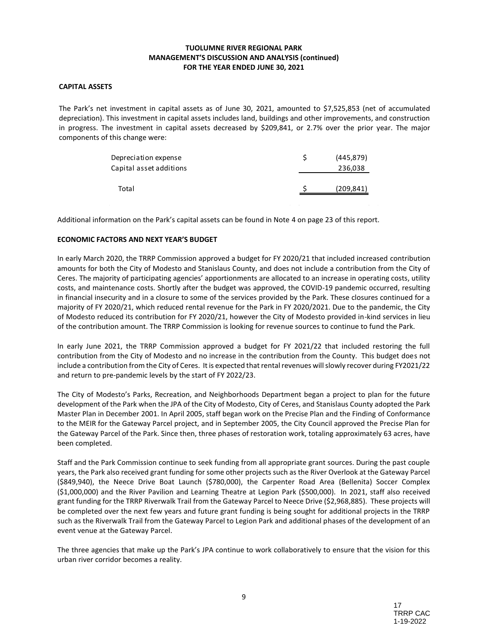#### **CAPITAL ASSETS**

The Park's net investment in capital assets as of June 30, 2021, amounted to \$7,525,853 (net of accumulated depreciation). This investment in capital assets includes land, buildings and other improvements, and construction in progress. The investment in capital assets decreased by \$209,841, or 2.7% over the prior year. The major components of this change were:

| Depreciation expense    | (445, 879) |
|-------------------------|------------|
| Capital asset additions | 236,038    |
| Total                   | (209, 841) |

Additional information on the Park's capital assets can be found in Note 4 on page 23 of this report.

#### **ECONOMIC FACTORS AND NEXT YEAR'S BUDGET**

In early March 2020, the TRRP Commission approved a budget for FY 2020/21 that included increased contribution amounts for both the City of Modesto and Stanislaus County, and does not include a contribution from the City of Ceres. The majority of participating agencies' apportionments are allocated to an increase in operating costs, utility costs, and maintenance costs. Shortly after the budget was approved, the COVID-19 pandemic occurred, resulting in financial insecurity and in a closure to some of the services provided by the Park. These closures continued for a majority of FY 2020/21, which reduced rental revenue for the Park in FY 2020/2021. Due to the pandemic, the City of Modesto reduced its contribution for FY 2020/21, however the City of Modesto provided in-kind services in lieu of the contribution amount. The TRRP Commission is looking for revenue sources to continue to fund the Park.

In early June 2021, the TRRP Commission approved a budget for FY 2021/22 that included restoring the full contribution from the City of Modesto and no increase in the contribution from the County. This budget does not include a contribution from the City of Ceres. It is expected that rental revenues will slowly recover during FY2021/22 and return to pre-pandemic levels by the start of FY 2022/23.

The City of Modesto's Parks, Recreation, and Neighborhoods Department began a project to plan for the future development of the Park when the JPA of the City of Modesto, City of Ceres, and Stanislaus County adopted the Park Master Plan in December 2001. In April 2005, staff began work on the Precise Plan and the Finding of Conformance to the MEIR for the Gateway Parcel project, and in September 2005, the City Council approved the Precise Plan for the Gateway Parcel of the Park. Since then, three phases of restoration work, totaling approximately 63 acres, have been completed.

Staff and the Park Commission continue to seek funding from all appropriate grant sources. During the past couple years, the Park also received grant funding for some other projects such as the River Overlook at the Gateway Parcel (\$849,940), the Neece Drive Boat Launch (\$780,000), the Carpenter Road Area (Bellenita) Soccer Complex (\$1,000,000) and the River Pavilion and Learning Theatre at Legion Park (\$500,000). In 2021, staff also received grant funding for the TRRP Riverwalk Trail from the Gateway Parcel to Neece Drive (\$2,968,885). These projects will be completed over the next few years and future grant funding is being sought for additional projects in the TRRP such as the Riverwalk Trail from the Gateway Parcel to Legion Park and additional phases of the development of an event venue at the Gateway Parcel.

The three agencies that make up the Park's JPA continue to work collaboratively to ensure that the vision for this urban river corridor becomes a reality.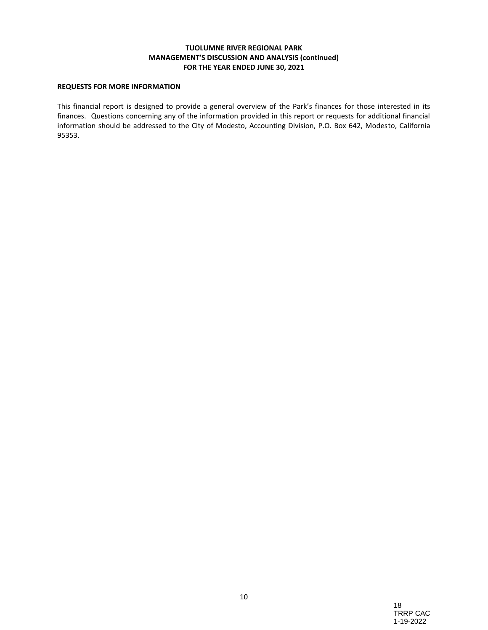#### **REQUESTS FOR MORE INFORMATION**

This financial report is designed to provide a general overview of the Park's finances for those interested in its finances. Questions concerning any of the information provided in this report or requests for additional financial information should be addressed to the City of Modesto, Accounting Division, P.O. Box 642, Modesto, California 95353.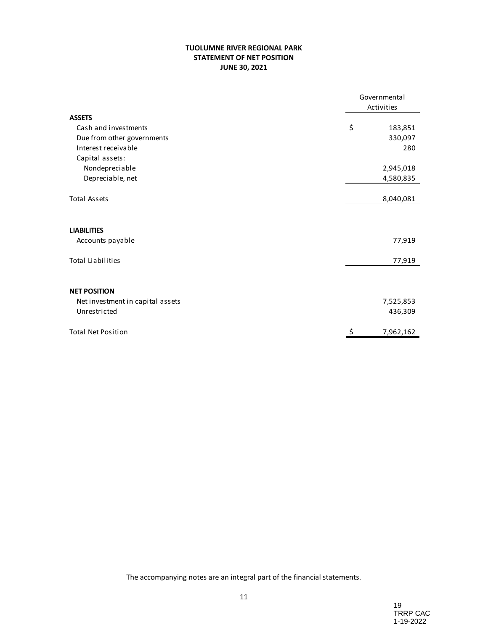#### **TUOLUMNE RIVER REGIONAL PARK STATEMENT OF NET POSITION JUNE 30, 2021**

|                                  | Governmental    |
|----------------------------------|-----------------|
|                                  | Activities      |
| <b>ASSETS</b>                    |                 |
| Cash and investments             | \$<br>183,851   |
| Due from other governments       | 330,097         |
| Interest receivable              | 280             |
| Capital assets:                  |                 |
| Nondepreciable                   | 2,945,018       |
| Depreciable, net                 | 4,580,835       |
|                                  |                 |
| <b>Total Assets</b>              | 8,040,081       |
|                                  |                 |
| <b>LIABILITIES</b>               |                 |
| Accounts payable                 | 77,919          |
| <b>Total Liabilities</b>         | 77,919          |
|                                  |                 |
| <b>NET POSITION</b>              |                 |
| Net investment in capital assets | 7,525,853       |
| Unrestricted                     |                 |
|                                  | 436,309         |
| <b>Total Net Position</b>        | 7,962,162<br>\$ |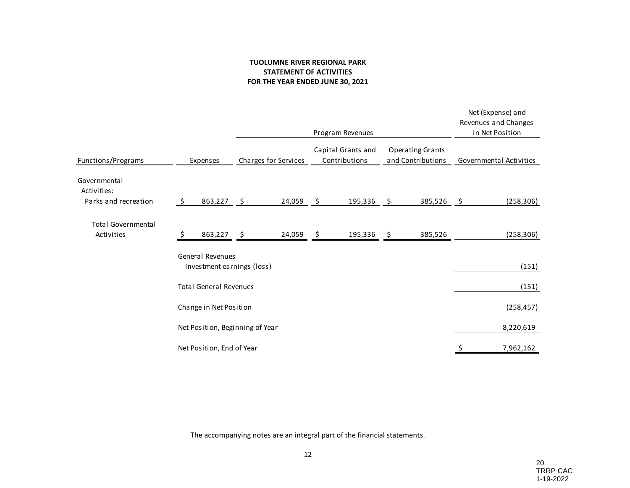#### **TUOLUMNE RIVER REGIONAL PARK STATEMENT OF ACTIVITIES FOR THE YEAR ENDED JUNE 30, 2021**

|                                         |                    |                                                |                      |        |                                     | Program Revenues |                                              |         | Net (Expense) and<br>Revenues and Changes<br>in Net Position |
|-----------------------------------------|--------------------|------------------------------------------------|----------------------|--------|-------------------------------------|------------------|----------------------------------------------|---------|--------------------------------------------------------------|
| Functions/Programs                      | Expenses           |                                                | Charges for Services |        | Capital Grants and<br>Contributions |                  | <b>Operating Grants</b><br>and Contributions |         | Governmental Activities                                      |
| Governmental<br>Activities:             |                    |                                                |                      |        |                                     |                  |                                              |         |                                                              |
| Parks and recreation                    | $\ddot{\varsigma}$ | 863,227 \$                                     |                      | 24,059 | $\zeta$                             | 195,336          | \$                                           | 385,526 | \$<br>(258, 306)                                             |
| <b>Total Governmental</b><br>Activities | S                  | 863,227                                        | \$                   | 24,059 | -S                                  | 195,336          | - \$                                         | 385,526 | (258, 306)                                                   |
|                                         |                    |                                                |                      |        |                                     |                  |                                              |         |                                                              |
|                                         |                    | General Revenues<br>Investment earnings (loss) |                      |        |                                     |                  |                                              |         | (151)                                                        |
|                                         |                    | <b>Total General Revenues</b>                  |                      |        |                                     |                  |                                              |         | (151)                                                        |
|                                         |                    | Change in Net Position                         |                      |        |                                     |                  |                                              |         | (258, 457)                                                   |
|                                         |                    | Net Position, Beginning of Year                |                      |        |                                     |                  |                                              |         | 8,220,619                                                    |
|                                         |                    | Net Position, End of Year                      |                      |        |                                     |                  |                                              |         | 7,962,162                                                    |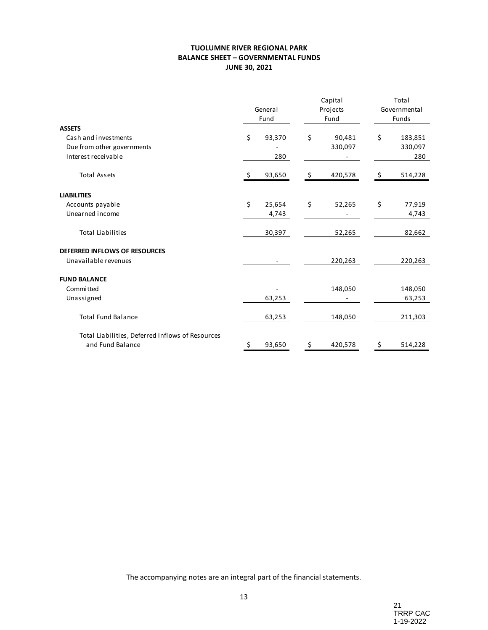#### **TUOLUMNE RIVER REGIONAL PARK BALANCE SHEET – GOVERNMENTAL FUNDS JUNE 30, 2021**

|                                                                      |    | General<br>Fund |    | Capital<br>Projects<br>Fund | Total<br>Governmental<br><b>Funds</b> |                    |
|----------------------------------------------------------------------|----|-----------------|----|-----------------------------|---------------------------------------|--------------------|
| <b>ASSETS</b>                                                        |    |                 |    |                             |                                       |                    |
| Cash and investments                                                 | \$ | 93,370          | \$ | 90,481<br>330,097           | \$                                    | 183,851<br>330,097 |
| Due from other governments<br>Interest receivable                    |    |                 |    |                             |                                       |                    |
|                                                                      |    | 280             |    |                             |                                       | 280                |
| <b>Total Assets</b>                                                  | \$ | 93,650          | \$ | 420,578                     | \$                                    | 514,228            |
| <b>LIABILITIES</b>                                                   |    |                 |    |                             |                                       |                    |
| Accounts payable                                                     | \$ | 25,654          | \$ | 52,265                      | \$                                    | 77,919             |
| Unearned income                                                      |    | 4,743           |    |                             |                                       | 4,743              |
| <b>Total Liabilities</b>                                             |    | 30,397          |    | 52,265                      |                                       | 82,662             |
| <b>DEFERRED INFLOWS OF RESOURCES</b>                                 |    |                 |    |                             |                                       |                    |
| Unavailable revenues                                                 |    |                 |    | 220,263                     |                                       | 220,263            |
| <b>FUND BALANCE</b>                                                  |    |                 |    |                             |                                       |                    |
| Committed                                                            |    |                 |    | 148,050                     |                                       | 148,050            |
| Unassigned                                                           |    | 63,253          |    |                             |                                       | 63,253             |
| <b>Total Fund Balance</b>                                            |    | 63,253          |    | 148,050                     |                                       | 211,303            |
| Total Liabilities, Deferred Inflows of Resources<br>and Fund Balance | S  | 93,650          | S  | 420,578                     | \$                                    | 514,228            |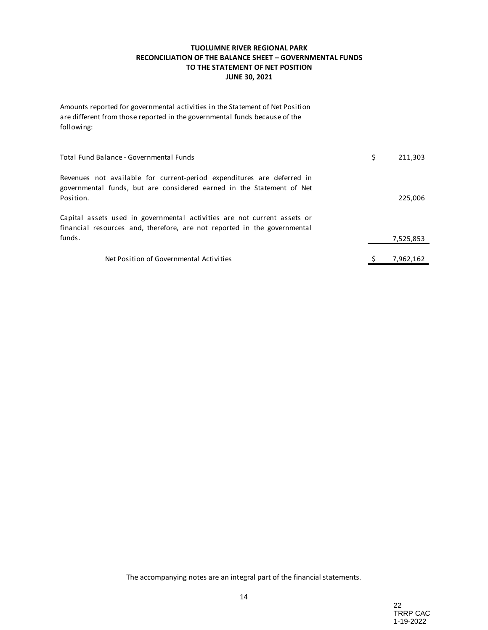#### **TUOLUMNE RIVER REGIONAL PARK RECONCILIATION OF THE BALANCE SHEET – GOVERNMENTAL FUNDS TO THE STATEMENT OF NET POSITION JUNE 30, 2021**

Amounts reported for governmental activities in the Statement of Net Position are different from those reported in the governmental funds because of the following:

| Total Fund Balance - Governmental Funds                                                                                                                        | \$<br>211,303 |
|----------------------------------------------------------------------------------------------------------------------------------------------------------------|---------------|
| Revenues not available for current-period expenditures are deferred in<br>governmental funds, but are considered earned in the Statement of Net<br>Position.   | 225,006       |
| Capital assets used in governmental activities are not current assets or<br>financial resources and, therefore, are not reported in the governmental<br>funds. | 7,525,853     |
| Net Position of Governmental Activities                                                                                                                        | 7.962.162     |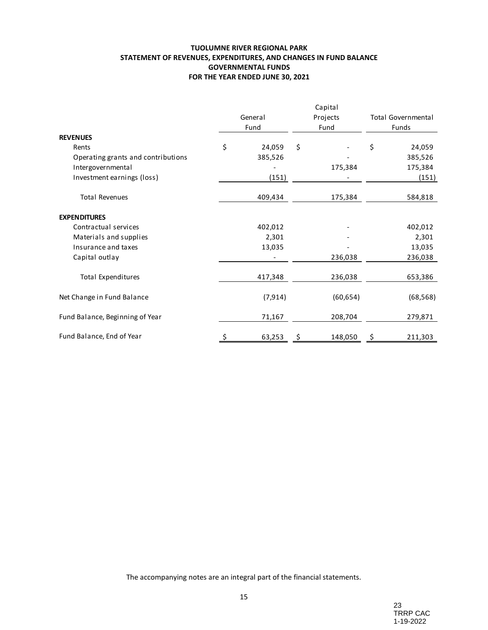#### **TUOLUMNE RIVER REGIONAL PARK STATEMENT OF REVENUES, EXPENDITURES, AND CHANGES IN FUND BALANCE GOVERNMENTAL FUNDS FOR THE YEAR ENDED JUNE 30, 2021**

|                                    |         |          |    | Capital   |                           |           |
|------------------------------------|---------|----------|----|-----------|---------------------------|-----------|
|                                    | General |          |    | Projects  | <b>Total Governmental</b> |           |
|                                    |         | Fund     |    | Fund      | Funds                     |           |
| <b>REVENUES</b>                    |         |          |    |           |                           |           |
| Rents                              | \$      | 24,059   | \$ |           | \$                        | 24,059    |
| Operating grants and contributions |         | 385,526  |    |           |                           | 385,526   |
| Intergovernmental                  |         |          |    | 175,384   |                           | 175,384   |
| Investment earnings (loss)         |         | (151)    |    |           |                           | (151)     |
| <b>Total Revenues</b>              |         | 409,434  |    | 175,384   |                           | 584,818   |
| <b>EXPENDITURES</b>                |         |          |    |           |                           |           |
| Contractual services               |         | 402,012  |    |           |                           | 402,012   |
| Materials and supplies             |         | 2,301    |    |           |                           | 2,301     |
| Insurance and taxes                |         | 13,035   |    |           |                           | 13,035    |
| Capital outlay                     |         |          |    | 236,038   |                           | 236,038   |
| <b>Total Expenditures</b>          |         | 417,348  |    | 236,038   |                           | 653,386   |
| Net Change in Fund Balance         |         | (7, 914) |    | (60, 654) |                           | (68, 568) |
| Fund Balance, Beginning of Year    |         | 71,167   |    | 208,704   |                           | 279,871   |
| Fund Balance, End of Year          |         | 63,253   |    | 148,050   |                           | 211,303   |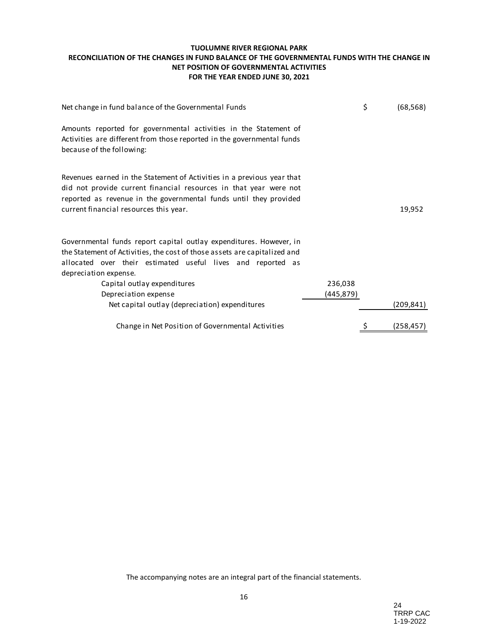#### **TUOLUMNE RIVER REGIONAL PARK RECONCILIATION OF THE CHANGES IN FUND BALANCE OF THE GOVERNMENTAL FUNDS WITH THE CHANGE IN NET POSITION OF GOVERNMENTAL ACTIVITIES FOR THE YEAR ENDED JUNE 30, 2021**

| Net change in fund balance of the Governmental Funds                                                                                                                                                                                                                                           |                      | \$<br>(68, 568) |
|------------------------------------------------------------------------------------------------------------------------------------------------------------------------------------------------------------------------------------------------------------------------------------------------|----------------------|-----------------|
| Amounts reported for governmental activities in the Statement of<br>Activities are different from those reported in the governmental funds<br>because of the following:                                                                                                                        |                      |                 |
| Revenues earned in the Statement of Activities in a previous year that<br>did not provide current financial resources in that year were not<br>reported as revenue in the governmental funds until they provided<br>current financial resources this year.                                     |                      | 19,952          |
| Governmental funds report capital outlay expenditures. However, in<br>the Statement of Activities, the cost of those assets are capitalized and<br>allocated over their estimated useful lives and reported as<br>depreciation expense.<br>Capital outlay expenditures<br>Depreciation expense | 236,038<br>(445,879) |                 |
| Net capital outlay (depreciation) expenditures                                                                                                                                                                                                                                                 |                      | (209,841)       |
| Change in Net Position of Governmental Activities                                                                                                                                                                                                                                              |                      | (258,457)       |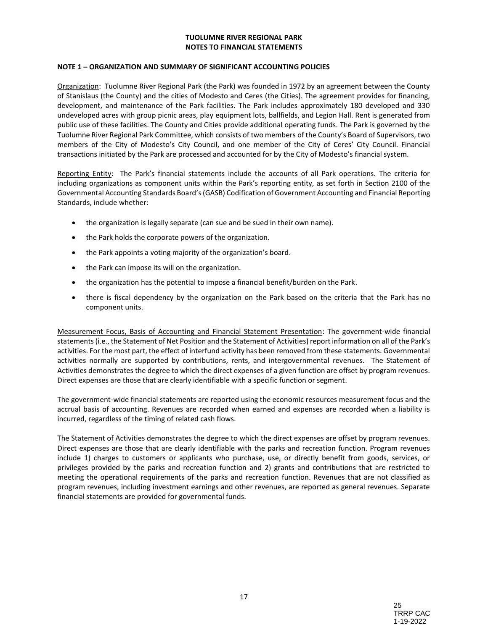#### **NOTE 1 – ORGANIZATION AND SUMMARY OF SIGNIFICANT ACCOUNTING POLICIES**

Organization: Tuolumne River Regional Park (the Park) was founded in 1972 by an agreement between the County of Stanislaus (the County) and the cities of Modesto and Ceres (the Cities). The agreement provides for financing, development, and maintenance of the Park facilities. The Park includes approximately 180 developed and 330 undeveloped acres with group picnic areas, play equipment lots, ballfields, and Legion Hall. Rent is generated from public use of these facilities. The County and Cities provide additional operating funds. The Park is governed by the Tuolumne River Regional Park Committee, which consists of two members of the County's Board of Supervisors, two members of the City of Modesto's City Council, and one member of the City of Ceres' City Council. Financial transactions initiated by the Park are processed and accounted for by the City of Modesto's financial system.

Reporting Entity: The Park's financial statements include the accounts of all Park operations. The criteria for including organizations as component units within the Park's reporting entity, as set forth in Section 2100 of the Governmental Accounting Standards Board's (GASB) Codification of Government Accounting and Financial Reporting Standards, include whether:

- the organization is legally separate (can sue and be sued in their own name).
- the Park holds the corporate powers of the organization.
- the Park appoints a voting majority of the organization's board.
- the Park can impose its will on the organization.
- the organization has the potential to impose a financial benefit/burden on the Park.
- there is fiscal dependency by the organization on the Park based on the criteria that the Park has no component units.

Measurement Focus, Basis of Accounting and Financial Statement Presentation: The government-wide financial statements (i.e., the Statement of Net Position and the Statement of Activities) report information on all of the Park's activities. For the most part, the effect of interfund activity has been removed from these statements. Governmental activities normally are supported by contributions, rents, and intergovernmental revenues. The Statement of Activities demonstrates the degree to which the direct expenses of a given function are offset by program revenues. Direct expenses are those that are clearly identifiable with a specific function or segment.

The government-wide financial statements are reported using the economic resources measurement focus and the accrual basis of accounting. Revenues are recorded when earned and expenses are recorded when a liability is incurred, regardless of the timing of related cash flows.

The Statement of Activities demonstrates the degree to which the direct expenses are offset by program revenues. Direct expenses are those that are clearly identifiable with the parks and recreation function. Program revenues include 1) charges to customers or applicants who purchase, use, or directly benefit from goods, services, or privileges provided by the parks and recreation function and 2) grants and contributions that are restricted to meeting the operational requirements of the parks and recreation function. Revenues that are not classified as program revenues, including investment earnings and other revenues, are reported as general revenues. Separate financial statements are provided for governmental funds.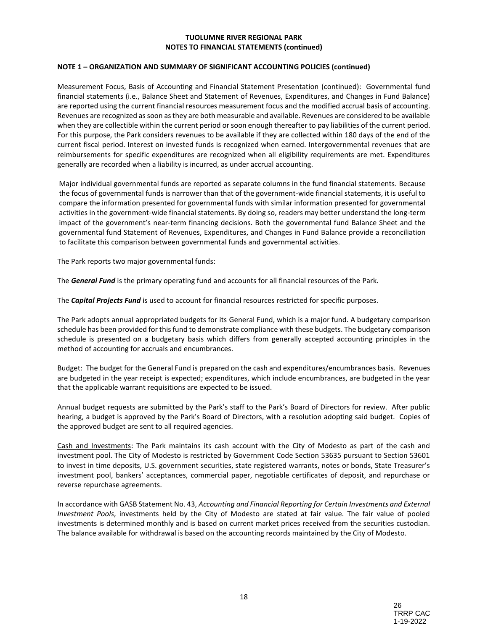#### **NOTE 1 – ORGANIZATION AND SUMMARY OF SIGNIFICANT ACCOUNTING POLICIES (continued)**

Measurement Focus, Basis of Accounting and Financial Statement Presentation (continued): Governmental fund financial statements (i.e., Balance Sheet and Statement of Revenues, Expenditures, and Changes in Fund Balance) are reported using the current financial resources measurement focus and the modified accrual basis of accounting. Revenues are recognized as soon as they are both measurable and available. Revenues are considered to be available when they are collectible within the current period or soon enough thereafter to pay liabilities of the current period. For this purpose, the Park considers revenues to be available if they are collected within 180 days of the end of the current fiscal period. Interest on invested funds is recognized when earned. Intergovernmental revenues that are reimbursements for specific expenditures are recognized when all eligibility requirements are met. Expenditures generally are recorded when a liability is incurred, as under accrual accounting.

Major individual governmental funds are reported as separate columns in the fund financial statements. Because the focus of governmental funds is narrower than that of the government-wide financial statements, it is useful to compare the information presented for governmental funds with similar information presented for governmental activities in the government-wide financial statements. By doing so, readers may better understand the long-term impact of the government's near-term financing decisions. Both the governmental fund Balance Sheet and the governmental fund Statement of Revenues, Expenditures, and Changes in Fund Balance provide a reconciliation to facilitate this comparison between governmental funds and governmental activities.

The Park reports two major governmental funds:

The *General Fund* is the primary operating fund and accounts for all financial resources of the Park.

The *Capital Projects Fund* is used to account for financial resources restricted for specific purposes.

The Park adopts annual appropriated budgets for its General Fund, which is a major fund. A budgetary comparison schedule has been provided for this fund to demonstrate compliance with these budgets. The budgetary comparison schedule is presented on a budgetary basis which differs from generally accepted accounting principles in the method of accounting for accruals and encumbrances.

Budget: The budget for the General Fund is prepared on the cash and expenditures/encumbrances basis. Revenues are budgeted in the year receipt is expected; expenditures, which include encumbrances, are budgeted in the year that the applicable warrant requisitions are expected to be issued.

Annual budget requests are submitted by the Park's staff to the Park's Board of Directors for review. After public hearing, a budget is approved by the Park's Board of Directors, with a resolution adopting said budget. Copies of the approved budget are sent to all required agencies.

Cash and Investments: The Park maintains its cash account with the City of Modesto as part of the cash and investment pool. The City of Modesto is restricted by Government Code Section 53635 pursuant to Section 53601 to invest in time deposits, U.S. government securities, state registered warrants, notes or bonds, State Treasurer's investment pool, bankers' acceptances, commercial paper, negotiable certificates of deposit, and repurchase or reverse repurchase agreements.

In accordance with GASB Statement No. 43, *Accounting and Financial Reporting for Certain Investments and External Investment Pools*, investments held by the City of Modesto are stated at fair value. The fair value of pooled investments is determined monthly and is based on current market prices received from the securities custodian. The balance available for withdrawal is based on the accounting records maintained by the City of Modesto.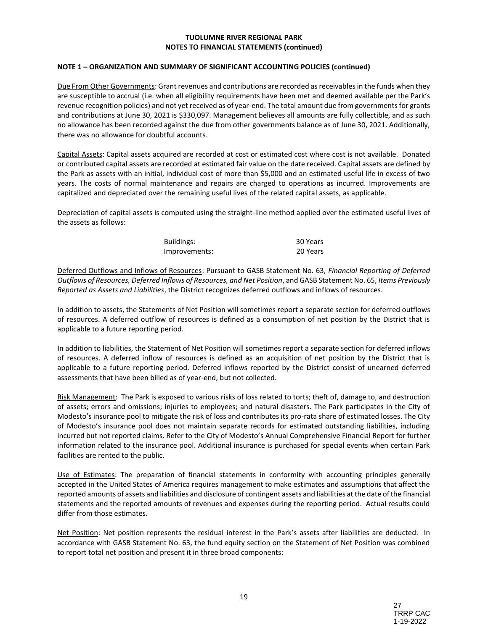#### **NOTE 1 – ORGANIZATION AND SUMMARY OF SIGNIFICANT ACCOUNTING POLICIES (continued)**

Due From Other Governments: Grant revenues and contributions are recorded as receivables in the funds when they are susceptible to accrual (i.e. when all eligibility requirements have been met and deemed available per the Park's revenue recognition policies) and not yet received as of year-end. The total amount due from governments for grants and contributions at June 30, 2021 is \$330,097. Management believes all amounts are fully collectible, and as such no allowance has been recorded against the due from other governments balance as of June 30, 2021. Additionally, there was no allowance for doubtful accounts.

Capital Assets: Capital assets acquired are recorded at cost or estimated cost where cost is not available. Donated or contributed capital assets are recorded at estimated fair value on the date received. Capital assets are defined by the Park as assets with an initial, individual cost of more than \$5,000 and an estimated useful life in excess of two years. The costs of normal maintenance and repairs are charged to operations as incurred. Improvements are capitalized and depreciated over the remaining useful lives of the related capital assets, as applicable.

Depreciation of capital assets is computed using the straight-line method applied over the estimated useful lives of the assets as follows:

| Buildings:    | 30 Years |
|---------------|----------|
| Improvements: | 20 Years |

Deferred Outflows and Inflows of Resources: Pursuant to GASB Statement No. 63, *Financial Reporting of Deferred Outflows of Resources, Deferred Inflows of Resources, and Net Position*, and GASB Statement No. 65, *Items Previously Reported as Assets and Liabilities*, the District recognizes deferred outflows and inflows of resources.

In addition to assets, the Statements of Net Position will sometimes report a separate section for deferred outflows of resources. A deferred outflow of resources is defined as a consumption of net position by the District that is applicable to a future reporting period.

In addition to liabilities, the Statement of Net Position will sometimes report a separate section for deferred inflows of resources. A deferred inflow of resources is defined as an acquisition of net position by the District that is applicable to a future reporting period. Deferred inflows reported by the District consist of unearned deferred assessments that have been billed as of year-end, but not collected.

Risk Management: The Park is exposed to various risks of loss related to torts; theft of, damage to, and destruction of assets; errors and omissions; injuries to employees; and natural disasters. The Park participates in the City of Modesto's insurance pool to mitigate the risk of loss and contributes its pro-rata share of estimated losses. The City of Modesto's insurance pool does not maintain separate records for estimated outstanding liabilities, including incurred but not reported claims. Refer to the City of Modesto's Annual Comprehensive Financial Report for further information related to the insurance pool. Additional insurance is purchased for special events when certain Park facilities are rented to the public.

Use of Estimates: The preparation of financial statements in conformity with accounting principles generally accepted in the United States of America requires management to make estimates and assumptions that affect the reported amounts of assets and liabilities and disclosure of contingent assets and liabilities at the date of the financial statements and the reported amounts of revenues and expenses during the reporting period. Actual results could differ from those estimates.

Net Position: Net position represents the residual interest in the Park's assets after liabilities are deducted. In accordance with GASB Statement No. 63, the fund equity section on the Statement of Net Position was combined to report total net position and present it in three broad components: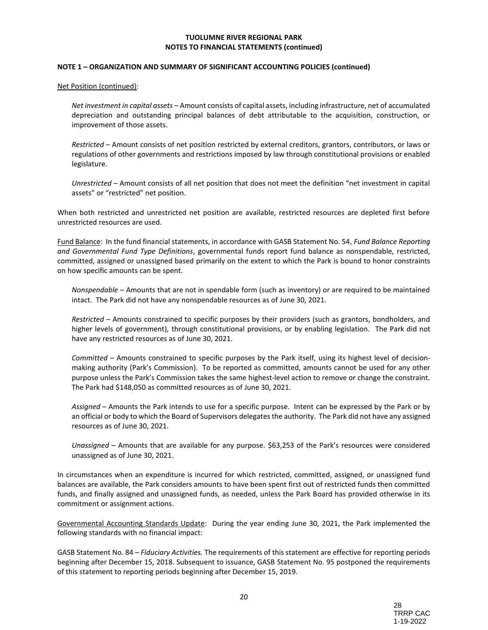#### **NOTE 1 – ORGANIZATION AND SUMMARY OF SIGNIFICANT ACCOUNTING POLICIES (continued)**

#### Net Position (continued):

*Net investment in capital assets* – Amount consists of capital assets, including infrastructure, net of accumulated depreciation and outstanding principal balances of debt attributable to the acquisition, construction, or improvement of those assets.

*Restricted* – Amount consists of net position restricted by external creditors, grantors, contributors, or laws or regulations of other governments and restrictions imposed by law through constitutional provisions or enabled legislature.

*Unrestricted* – Amount consists of all net position that does not meet the definition "net investment in capital assets" or "restricted" net position.

When both restricted and unrestricted net position are available, restricted resources are depleted first before unrestricted resources are used.

Fund Balance: In the fund financial statements, in accordance with GASB Statement No. 54, *Fund Balance Reporting and Governmental Fund Type Definitions*, governmental funds report fund balance as nonspendable, restricted, committed, assigned or unassigned based primarily on the extent to which the Park is bound to honor constraints on how specific amounts can be spent.

*Nonspendable* – Amounts that are not in spendable form (such as inventory) or are required to be maintained intact. The Park did not have any nonspendable resources as of June 30, 2021.

*Restricted* – Amounts constrained to specific purposes by their providers (such as grantors, bondholders, and higher levels of government), through constitutional provisions, or by enabling legislation. The Park did not have any restricted resources as of June 30, 2021.

*Committed* – Amounts constrained to specific purposes by the Park itself, using its highest level of decisionmaking authority (Park's Commission). To be reported as committed, amounts cannot be used for any other purpose unless the Park's Commission takes the same highest-level action to remove or change the constraint. The Park had \$148,050 as committed resources as of June 30, 2021.

*Assigned* – Amounts the Park intends to use for a specific purpose. Intent can be expressed by the Park or by an official or body to which the Board of Supervisors delegates the authority. The Park did not have any assigned resources as of June 30, 2021.

*Unassigned* – Amounts that are available for any purpose. \$63,253 of the Park's resources were considered unassigned as of June 30, 2021.

In circumstances when an expenditure is incurred for which restricted, committed, assigned, or unassigned fund balances are available, the Park considers amounts to have been spent first out of restricted funds then committed funds, and finally assigned and unassigned funds, as needed, unless the Park Board has provided otherwise in its commitment or assignment actions.

Governmental Accounting Standards Update: During the year ending June 30, 2021, the Park implemented the following standards with no financial impact:

GASB Statement No. 84 – *Fiduciary Activities.* The requirements of this statement are effective for reporting periods beginning after December 15, 2018. Subsequent to issuance, GASB Statement No. 95 postponed the requirements of this statement to reporting periods beginning after December 15, 2019.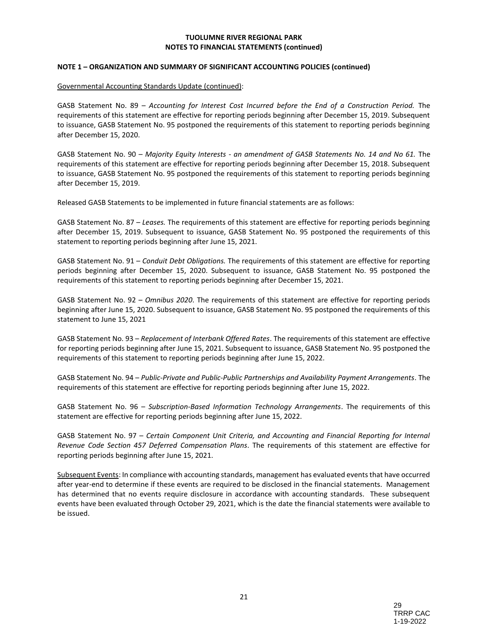#### **NOTE 1 – ORGANIZATION AND SUMMARY OF SIGNIFICANT ACCOUNTING POLICIES (continued)**

#### Governmental Accounting Standards Update (continued):

GASB Statement No. 89 - *Accounting for Interest Cost Incurred before the End of a Construction Period.* The requirements of this statement are effective for reporting periods beginning after December 15, 2019. Subsequent to issuance, GASB Statement No. 95 postponed the requirements of this statement to reporting periods beginning after December 15, 2020.

GASB Statement No. 90 – *Majority Equity Interests - an amendment of GASB Statements No. 14 and No 61.* The requirements of this statement are effective for reporting periods beginning after December 15, 2018. Subsequent to issuance, GASB Statement No. 95 postponed the requirements of this statement to reporting periods beginning after December 15, 2019.

Released GASB Statements to be implemented in future financial statements are as follows:

GASB Statement No. 87 – *Leases.* The requirements of this statement are effective for reporting periods beginning after December 15, 2019. Subsequent to issuance, GASB Statement No. 95 postponed the requirements of this statement to reporting periods beginning after June 15, 2021.

GASB Statement No. 91 – *Conduit Debt Obligations.* The requirements of this statement are effective for reporting periods beginning after December 15, 2020. Subsequent to issuance, GASB Statement No. 95 postponed the requirements of this statement to reporting periods beginning after December 15, 2021.

GASB Statement No. 92 – *Omnibus 2020*. The requirements of this statement are effective for reporting periods beginning after June 15, 2020. Subsequent to issuance, GASB Statement No. 95 postponed the requirements of this statement to June 15, 2021

GASB Statement No. 93 – *Replacement of Interbank Offered Rates*. The requirements of this statement are effective for reporting periods beginning after June 15, 2021. Subsequent to issuance, GASB Statement No. 95 postponed the requirements of this statement to reporting periods beginning after June 15, 2022.

GASB Statement No. 94 – *Public-Private and Public-Public Partnerships and Availability Payment Arrangements*. The requirements of this statement are effective for reporting periods beginning after June 15, 2022.

GASB Statement No. 96 – *Subscription-Based Information Technology Arrangements*. The requirements of this statement are effective for reporting periods beginning after June 15, 2022.

GASB Statement No. 97 – *Certain Component Unit Criteria, and Accounting and Financial Reporting for Internal Revenue Code Section 457 Deferred Compensation Plans*. The requirements of this statement are effective for reporting periods beginning after June 15, 2021.

Subsequent Events: In compliance with accounting standards, management has evaluated events that have occurred after year-end to determine if these events are required to be disclosed in the financial statements. Management has determined that no events require disclosure in accordance with accounting standards. These subsequent events have been evaluated through October 29, 2021, which is the date the financial statements were available to be issued.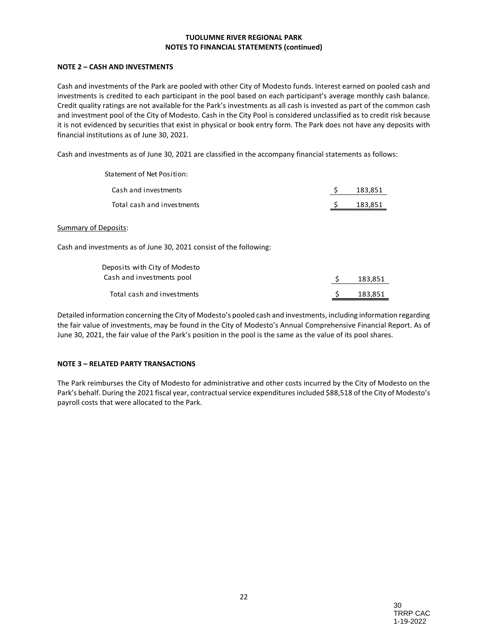#### **NOTE 2 – CASH AND INVESTMENTS**

Cash and investments of the Park are pooled with other City of Modesto funds. Interest earned on pooled cash and investments is credited to each participant in the pool based on each participant's average monthly cash balance. Credit quality ratings are not available for the Park's investments as all cash is invested as part of the common cash and investment pool of the City of Modesto. Cash in the City Pool is considered unclassified as to credit risk because it is not evidenced by securities that exist in physical or book entry form. The Park does not have any deposits with financial institutions as of June 30, 2021.

Cash and investments as of June 30, 2021 are classified in the accompany financial statements as follows:

| Statement of Net Position: |         |
|----------------------------|---------|
| Cash and investments       | 183,851 |
| Total cash and investments | 183,851 |

#### Summary of Deposits:

Cash and investments as of June 30, 2021 consist of the following:

| Deposits with City of Modesto |         |
|-------------------------------|---------|
| Cash and investments pool     | 183,851 |
| Total cash and investments    | 183.851 |

Detailed information concerning the City of Modesto's pooled cash and investments, including information regarding the fair value of investments, may be found in the City of Modesto's Annual Comprehensive Financial Report. As of June 30, 2021, the fair value of the Park's position in the pool is the same as the value of its pool shares.

#### **NOTE 3 – RELATED PARTY TRANSACTIONS**

The Park reimburses the City of Modesto for administrative and other costs incurred by the City of Modesto on the Park's behalf. During the 2021 fiscal year, contractual service expenditures included \$88,518 of the City of Modesto's payroll costs that were allocated to the Park.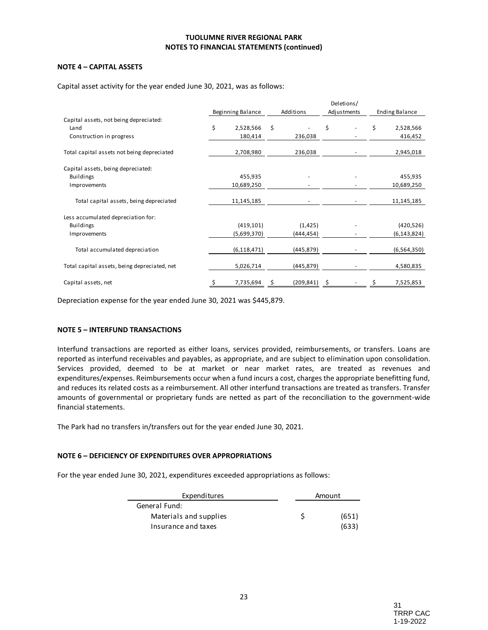#### **NOTE 4 – CAPITAL ASSETS**

Capital asset activity for the year ended June 30, 2021, was as follows:

|                                              |                   |   |           |     | Deletions/  |                       |
|----------------------------------------------|-------------------|---|-----------|-----|-------------|-----------------------|
|                                              | Beginning Balance |   | Additions |     | Adjustments | <b>Ending Balance</b> |
| Capital assets, not being depreciated:       |                   |   |           |     |             |                       |
| Land                                         | \$<br>2,528,566   | Ś |           | \$  |             | \$<br>2,528,566       |
| Construction in progress                     | 180,414           |   | 236,038   |     |             | 416,452               |
| Total capital assets not being depreciated   | 2,708,980         |   | 236,038   |     |             | 2,945,018             |
| Capital assets, being depreciated:           |                   |   |           |     |             |                       |
| <b>Buildings</b>                             | 455,935           |   |           |     |             | 455,935               |
| Improvements                                 | 10,689,250        |   |           |     |             | 10,689,250            |
| Total capital assets, being depreciated      | 11,145,185        |   |           |     |             | 11,145,185            |
| Less accumulated depreciation for:           |                   |   |           |     |             |                       |
| <b>Buildings</b>                             | (419, 101)        |   | (1, 425)  |     |             | (420, 526)            |
| Improvements                                 | (5,699,370)       |   | (444,454) |     |             | (6, 143, 824)         |
| Total accumulated depreciation               | (6, 118, 471)     |   | (445,879) |     |             | (6, 564, 350)         |
| Total capital assets, being depreciated, net | 5,026,714         |   | (445,879) |     |             | 4,580,835             |
| Capital assets, net                          | 7,735,694         |   | (209,841) | \$. |             | 7,525,853             |

Depreciation expense for the year ended June 30, 2021 was \$445,879.

#### **NOTE 5 – INTERFUND TRANSACTIONS**

Interfund transactions are reported as either loans, services provided, reimbursements, or transfers. Loans are reported as interfund receivables and payables, as appropriate, and are subject to elimination upon consolidation. Services provided, deemed to be at market or near market rates, are treated as revenues and expenditures/expenses. Reimbursements occur when a fund incurs a cost, charges the appropriate benefitting fund, and reduces its related costs as a reimbursement. All other interfund transactions are treated as transfers. Transfer amounts of governmental or proprietary funds are netted as part of the reconciliation to the government-wide financial statements.

The Park had no transfers in/transfers out for the year ended June 30, 2021.

#### **NOTE 6 – DEFICIENCY OF EXPENDITURES OVER APPROPRIATIONS**

For the year ended June 30, 2021, expenditures exceeded appropriations as follows:

| Expenditures           | Amount |
|------------------------|--------|
| General Fund:          |        |
| Materials and supplies | (651)  |
| Insurance and taxes    | (633)  |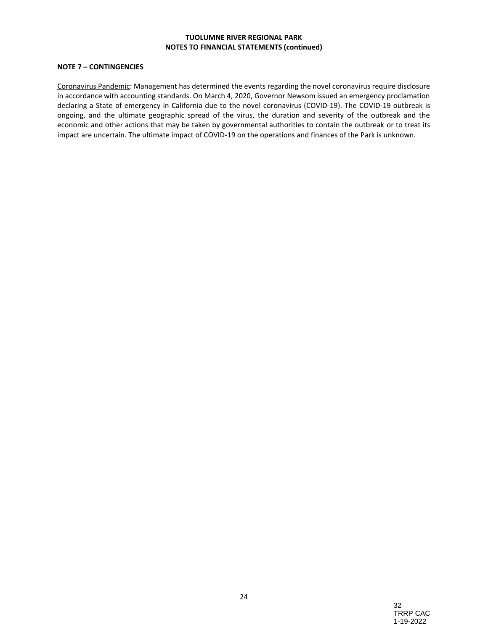#### **NOTE 7 – CONTINGENCIES**

Coronavirus Pandemic: Management has determined the events regarding the novel coronavirus require disclosure in accordance with accounting standards. On March 4, 2020, Governor Newsom issued an emergency proclamation declaring a State of emergency in California due to the novel coronavirus (COVID-19). The COVID-19 outbreak is ongoing, and the ultimate geographic spread of the virus, the duration and severity of the outbreak and the economic and other actions that may be taken by governmental authorities to contain the outbreak or to treat its impact are uncertain. The ultimate impact of COVID-19 on the operations and finances of the Park is unknown.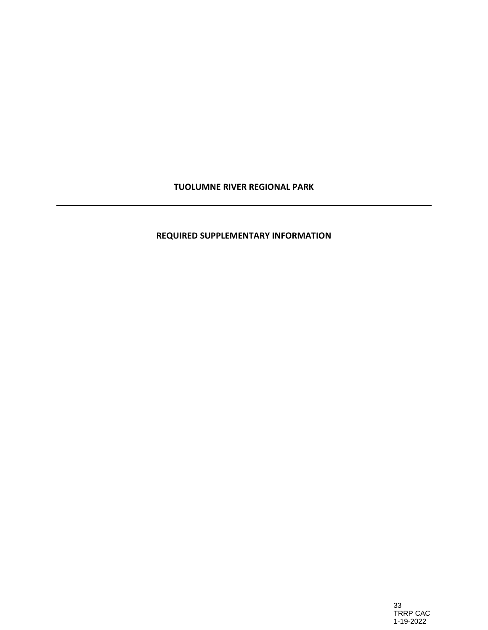## **TUOLUMNE RIVER REGIONAL PARK**

# **REQUIRED SUPPLEMENTARY INFORMATION**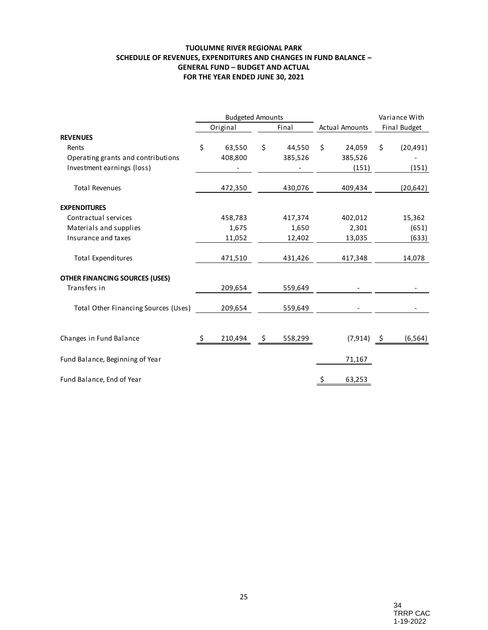#### **TUOLUMNE RIVER REGIONAL PARK SCHEDULE OF REVENUES, EXPENDITURES AND CHANGES IN FUND BALANCE – GENERAL FUND – BUDGET AND ACTUAL FOR THE YEAR ENDED JUNE 30, 2021**

|                                       | <b>Budgeted Amounts</b> |          |    |         |    |                       | Variance With |              |
|---------------------------------------|-------------------------|----------|----|---------|----|-----------------------|---------------|--------------|
|                                       |                         | Original |    | Final   |    | <b>Actual Amounts</b> |               | Final Budget |
| <b>REVENUES</b>                       |                         |          |    |         |    |                       |               |              |
| Rents                                 | \$                      | 63,550   | \$ | 44,550  | \$ | 24,059                | \$            | (20, 491)    |
| Operating grants and contributions    |                         | 408,800  |    | 385,526 |    | 385,526               |               |              |
| Investment earnings (loss)            |                         |          |    |         |    | (151)                 |               | (151)        |
|                                       |                         |          |    |         |    |                       |               |              |
| <b>Total Revenues</b>                 |                         | 472,350  |    | 430,076 |    | 409,434               |               | (20, 642)    |
|                                       |                         |          |    |         |    |                       |               |              |
| <b>EXPENDITURES</b>                   |                         |          |    |         |    |                       |               |              |
| Contractual services                  |                         | 458,783  |    | 417,374 |    | 402,012               |               | 15,362       |
| Materials and supplies                |                         | 1,675    |    | 1,650   |    | 2,301                 |               | (651)        |
| Insurance and taxes                   |                         | 11,052   |    | 12,402  |    | 13,035                |               | (633)        |
|                                       |                         |          |    |         |    |                       |               |              |
| <b>Total Expenditures</b>             |                         | 471,510  |    | 431,426 |    | 417,348               |               | 14,078       |
|                                       |                         |          |    |         |    |                       |               |              |
| <b>OTHER FINANCING SOURCES (USES)</b> |                         |          |    |         |    |                       |               |              |
| Transfers in                          |                         | 209,654  |    | 559,649 |    |                       |               |              |
|                                       |                         |          |    |         |    |                       |               |              |
| Total Other Financing Sources (Uses)  |                         | 209,654  |    | 559,649 |    |                       |               |              |
|                                       |                         |          |    |         |    |                       |               |              |
|                                       |                         |          |    |         |    |                       |               |              |
| Changes in Fund Balance               | \$                      | 210,494  | \$ | 558,299 |    | $(7,914)$ \$          |               | (6, 564)     |
|                                       |                         |          |    |         |    |                       |               |              |
| Fund Balance, Beginning of Year       |                         |          |    |         |    | 71,167                |               |              |
|                                       |                         |          |    |         |    |                       |               |              |
| Fund Balance, End of Year             |                         |          |    |         | \$ | 63,253                |               |              |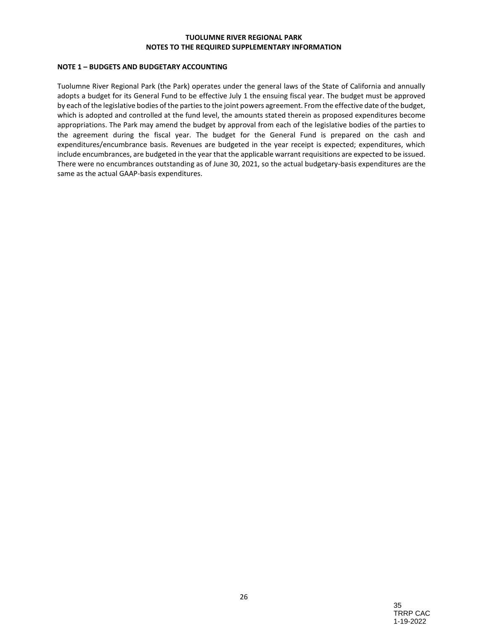#### **TUOLUMNE RIVER REGIONAL PARK NOTES TO THE REQUIRED SUPPLEMENTARY INFORMATION**

#### **NOTE 1 – BUDGETS AND BUDGETARY ACCOUNTING**

Tuolumne River Regional Park (the Park) operates under the general laws of the State of California and annually adopts a budget for its General Fund to be effective July 1 the ensuing fiscal year. The budget must be approved by each of the legislative bodies of the parties to the joint powers agreement. From the effective date of the budget, which is adopted and controlled at the fund level, the amounts stated therein as proposed expenditures become appropriations. The Park may amend the budget by approval from each of the legislative bodies of the parties to the agreement during the fiscal year. The budget for the General Fund is prepared on the cash and expenditures/encumbrance basis. Revenues are budgeted in the year receipt is expected; expenditures, which include encumbrances, are budgeted in the year that the applicable warrant requisitions are expected to be issued. There were no encumbrances outstanding as of June 30, 2021, so the actual budgetary-basis expenditures are the same as the actual GAAP-basis expenditures.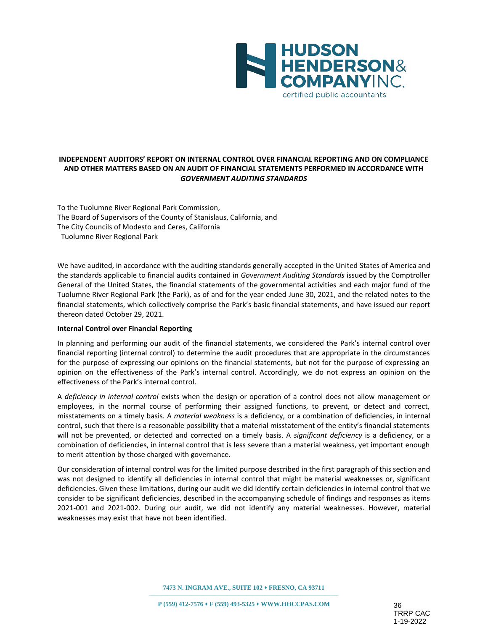

#### **INDEPENDENT AUDITORS' REPORT ON INTERNAL CONTROL OVER FINANCIAL REPORTING AND ON COMPLIANCE AND OTHER MATTERS BASED ON AN AUDIT OF FINANCIAL STATEMENTS PERFORMED IN ACCORDANCE WITH**  *GOVERNMENT AUDITING STANDARDS*

To the Tuolumne River Regional Park Commission, The Board of Supervisors of the County of Stanislaus, California, and The City Councils of Modesto and Ceres, California Tuolumne River Regional Park

We have audited, in accordance with the auditing standards generally accepted in the United States of America and the standards applicable to financial audits contained in *Government Auditing Standards* issued by the Comptroller General of the United States, the financial statements of the governmental activities and each major fund of the Tuolumne River Regional Park (the Park), as of and for the year ended June 30, 2021, and the related notes to the financial statements, which collectively comprise the Park's basic financial statements, and have issued our report thereon dated October 29, 2021.

#### **Internal Control over Financial Reporting**

In planning and performing our audit of the financial statements, we considered the Park's internal control over financial reporting (internal control) to determine the audit procedures that are appropriate in the circumstances for the purpose of expressing our opinions on the financial statements, but not for the purpose of expressing an opinion on the effectiveness of the Park's internal control. Accordingly, we do not express an opinion on the effectiveness of the Park's internal control.

A *deficiency in internal control* exists when the design or operation of a control does not allow management or employees, in the normal course of performing their assigned functions, to prevent, or detect and correct, misstatements on a timely basis. A *material weakness* is a deficiency, or a combination of deficiencies, in internal control, such that there is a reasonable possibility that a material misstatement of the entity's financial statements will not be prevented, or detected and corrected on a timely basis. A *significant deficiency* is a deficiency, or a combination of deficiencies, in internal control that is less severe than a material weakness, yet important enough to merit attention by those charged with governance.

Our consideration of internal control was for the limited purpose described in the first paragraph of this section and was not designed to identify all deficiencies in internal control that might be material weaknesses or, significant deficiencies. Given these limitations, during our audit we did identify certain deficiencies in internal control that we consider to be significant deficiencies, described in the accompanying schedule of findings and responses as items 2021-001 and 2021-002. During our audit, we did not identify any material weaknesses. However, material weaknesses may exist that have not been identified.

**7473 N. INGRAM AVE., SUITE 102** ⬧ **FRESNO, CA 93711**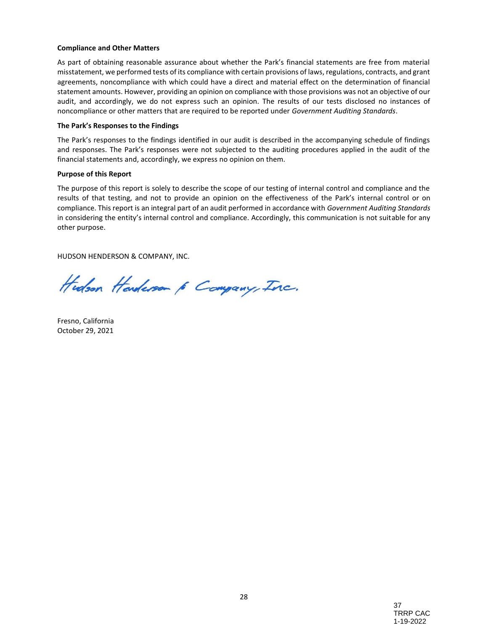#### **Compliance and Other Matters**

As part of obtaining reasonable assurance about whether the Park's financial statements are free from material misstatement, we performed tests of its compliance with certain provisions of laws, regulations, contracts, and grant agreements, noncompliance with which could have a direct and material effect on the determination of financial statement amounts. However, providing an opinion on compliance with those provisions was not an objective of our audit, and accordingly, we do not express such an opinion. The results of our tests disclosed no instances of noncompliance or other matters that are required to be reported under *Government Auditing Standards*.

#### **The Park's Responses to the Findings**

The Park's responses to the findings identified in our audit is described in the accompanying schedule of findings and responses. The Park's responses were not subjected to the auditing procedures applied in the audit of the financial statements and, accordingly, we express no opinion on them.

#### **Purpose of this Report**

The purpose of this report is solely to describe the scope of our testing of internal control and compliance and the results of that testing, and not to provide an opinion on the effectiveness of the Park's internal control or on compliance. This report is an integral part of an audit performed in accordance with *Government Auditing Standards* in considering the entity's internal control and compliance. Accordingly, this communication is not suitable for any other purpose.

HUDSON HENDERSON & COMPANY, INC.

Hudson Handerson 6 Company, Inc.

Fresno, California October 29, 2021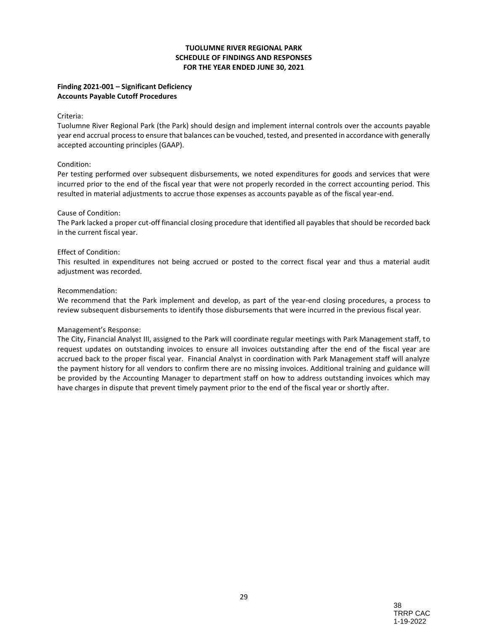#### **TUOLUMNE RIVER REGIONAL PARK SCHEDULE OF FINDINGS AND RESPONSES FOR THE YEAR ENDED JUNE 30, 2021**

#### **Finding 2021-001 – Significant Deficiency Accounts Payable Cutoff Procedures**

#### Criteria:

Tuolumne River Regional Park (the Park) should design and implement internal controls over the accounts payable year end accrual process to ensure that balances can be vouched, tested, and presented in accordance with generally accepted accounting principles (GAAP).

#### Condition:

Per testing performed over subsequent disbursements, we noted expenditures for goods and services that were incurred prior to the end of the fiscal year that were not properly recorded in the correct accounting period. This resulted in material adjustments to accrue those expenses as accounts payable as of the fiscal year-end.

#### Cause of Condition:

The Park lacked a proper cut-off financial closing procedure that identified all payables that should be recorded back in the current fiscal year.

#### Effect of Condition:

This resulted in expenditures not being accrued or posted to the correct fiscal year and thus a material audit adjustment was recorded.

#### Recommendation:

We recommend that the Park implement and develop, as part of the year-end closing procedures, a process to review subsequent disbursements to identify those disbursements that were incurred in the previous fiscal year.

#### Management's Response:

The City, Financial Analyst III, assigned to the Park will coordinate regular meetings with Park Management staff, to request updates on outstanding invoices to ensure all invoices outstanding after the end of the fiscal year are accrued back to the proper fiscal year. Financial Analyst in coordination with Park Management staff will analyze the payment history for all vendors to confirm there are no missing invoices. Additional training and guidance will be provided by the Accounting Manager to department staff on how to address outstanding invoices which may have charges in dispute that prevent timely payment prior to the end of the fiscal year or shortly after.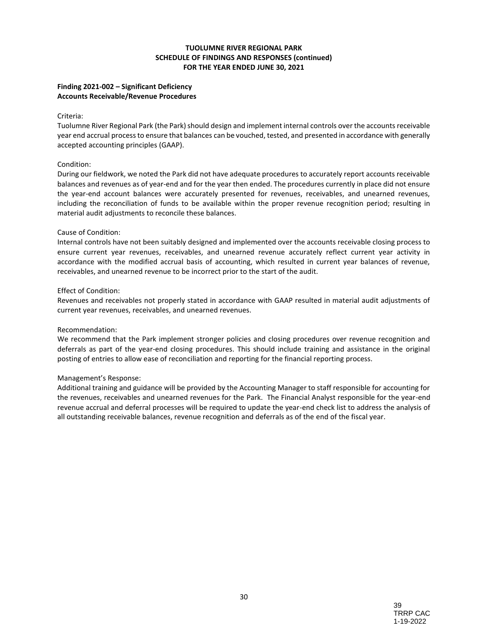#### **TUOLUMNE RIVER REGIONAL PARK SCHEDULE OF FINDINGS AND RESPONSES (continued) FOR THE YEAR ENDED JUNE 30, 2021**

#### **Finding 2021-002 – Significant Deficiency Accounts Receivable/Revenue Procedures**

#### Criteria:

Tuolumne River Regional Park (the Park) should design and implement internal controls over the accounts receivable year end accrual process to ensure that balances can be vouched, tested, and presented in accordance with generally accepted accounting principles (GAAP).

#### Condition:

During our fieldwork, we noted the Park did not have adequate procedures to accurately report accounts receivable balances and revenues as of year-end and for the year then ended. The procedures currently in place did not ensure the year-end account balances were accurately presented for revenues, receivables, and unearned revenues, including the reconciliation of funds to be available within the proper revenue recognition period; resulting in material audit adjustments to reconcile these balances.

#### Cause of Condition:

Internal controls have not been suitably designed and implemented over the accounts receivable closing process to ensure current year revenues, receivables, and unearned revenue accurately reflect current year activity in accordance with the modified accrual basis of accounting, which resulted in current year balances of revenue, receivables, and unearned revenue to be incorrect prior to the start of the audit.

#### Effect of Condition:

Revenues and receivables not properly stated in accordance with GAAP resulted in material audit adjustments of current year revenues, receivables, and unearned revenues.

#### Recommendation:

We recommend that the Park implement stronger policies and closing procedures over revenue recognition and deferrals as part of the year-end closing procedures. This should include training and assistance in the original posting of entries to allow ease of reconciliation and reporting for the financial reporting process.

#### Management's Response:

Additional training and guidance will be provided by the Accounting Manager to staff responsible for accounting for the revenues, receivables and unearned revenues for the Park. The Financial Analyst responsible for the year-end revenue accrual and deferral processes will be required to update the year-end check list to address the analysis of all outstanding receivable balances, revenue recognition and deferrals as of the end of the fiscal year.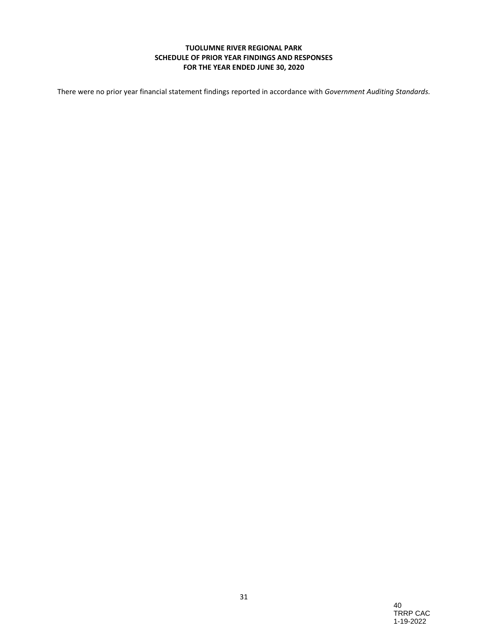#### **TUOLUMNE RIVER REGIONAL PARK SCHEDULE OF PRIOR YEAR FINDINGS AND RESPONSES FOR THE YEAR ENDED JUNE 30, 2020**

There were no prior year financial statement findings reported in accordance with *Government Auditing Standards.*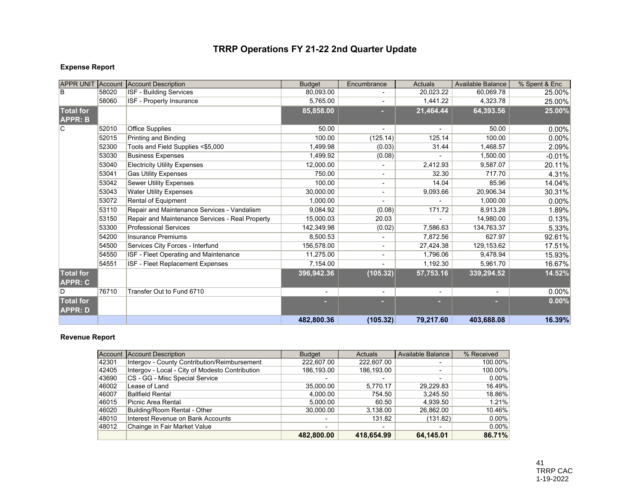# **TRRP Operations FY 21-22 2nd Quarter Update**

### **Expense Report**

| <b>APPR UNIT</b> |       | Account Account Description                     | <b>Budget</b>            | Encumbrance              | <b>Actuals</b>           | Available Balance        | % Spent & Enc |
|------------------|-------|-------------------------------------------------|--------------------------|--------------------------|--------------------------|--------------------------|---------------|
| l B              | 58020 | ISF - Building Services                         | 80,093.00                |                          | 20,023.22                | 60,069.78                | 25.00%        |
|                  | 58060 | ISF - Property Insurance                        | 5.765.00                 | ٠                        | 1.441.22                 | 4,323.78                 | 25.00%        |
| <b>Total for</b> |       |                                                 | 85,858.00                | ۰.                       | 21,464.44                | 64,393.56                | 25.00%        |
| <b>APPR: B</b>   |       |                                                 |                          |                          |                          |                          |               |
| lc.              | 52010 | <b>Office Supplies</b>                          | 50.00                    | $\overline{\phantom{0}}$ | $\overline{\phantom{a}}$ | 50.00                    | $0.00\%$      |
|                  | 52015 | <b>Printing and Binding</b>                     | 100.00                   | (125.14)                 | 125.14                   | 100.00                   | $0.00\%$      |
|                  | 52300 | Tools and Field Supplies <\$5,000               | 1,499.98                 | (0.03)                   | 31.44                    | 1,468.57                 | 2.09%         |
|                  | 53030 | <b>Business Expenses</b>                        | 1,499.92                 | (0.08)                   |                          | 1,500.00                 | $-0.01%$      |
|                  | 53040 | <b>Electricity Utility Expenses</b>             | 12,000.00                | -                        | 2,412.93                 | 9,587.07                 | 20.11%        |
|                  | 53041 | Gas Utility Expenses                            | 750.00                   | $\overline{\phantom{a}}$ | 32.30                    | 717.70                   | 4.31%         |
|                  | 53042 | Sewer Utility Expenses                          | 100.00                   | ۰                        | 14.04                    | 85.96                    | 14.04%        |
|                  | 53043 | <b>Water Utility Expenses</b>                   | 30,000.00                | ۰                        | 9,093.66                 | 20,906.34                | 30.31%        |
|                  | 53072 | Rental of Equipment                             | 1,000.00                 |                          |                          | 1,000.00                 | $0.00\%$      |
|                  | 53110 | Repair and Maintenance Services - Vandalism     | 9,084.92                 | (0.08)                   | 171.72                   | 8,913.28                 | 1.89%         |
|                  | 53150 | Repair and Maintenance Services - Real Property | 15,000.03                | 20.03                    |                          | 14,980.00                | 0.13%         |
|                  | 53300 | <b>Professional Services</b>                    | 142,349.98               | (0.02)                   | 7,586.63                 | 134,763.37               | 5.33%         |
|                  | 54200 | <b>Insurance Premiums</b>                       | 8,500.53                 |                          | 7,872.56                 | 627.97                   | 92.61%        |
|                  | 54500 | Services City Forces - Interfund                | 156,578.00               | ۰                        | 27,424.38                | 129,153.62               | 17.51%        |
|                  | 54550 | ISF - Fleet Operating and Maintenance           | 11,275.00                | ٠                        | 1,796.06                 | 9,478.94                 | 15.93%        |
|                  | 54551 | ISF - Fleet Replacement Expenses                | 7,154.00                 |                          | 1,192.30                 | 5,961.70                 | 16.67%        |
| <b>Total for</b> |       |                                                 | 396,942.36               | (105.32)                 | 57,753.16                | 339,294.52               | 14.52%        |
| APPR: C          |       |                                                 |                          |                          |                          |                          |               |
| ID.              | 76710 | Transfer Out to Fund 6710                       | $\overline{\phantom{a}}$ | $\sim$                   | $\overline{\phantom{a}}$ | $\overline{\phantom{a}}$ | $0.00\%$      |
| <b>Total for</b> |       |                                                 |                          | ۰.                       | ٠                        | ×.                       | 0.00%         |
| <b>APPR: D</b>   |       |                                                 |                          |                          |                          |                          |               |
|                  |       |                                                 | 482,800.36               | (105.32)                 | 79,217.60                | 403,688.08               | 16.39%        |

### **Revenue Report**

| Account | <b>Account Description</b>                      | <b>Budget</b>            | <b>Actuals</b>           | Available Balance        | % Received |
|---------|-------------------------------------------------|--------------------------|--------------------------|--------------------------|------------|
| 42301   | Intergov - County Contribution/Reimbursement    | 222.607.00               | 222.607.00               | -                        | 100.00%    |
| 42405   | Intergov - Local - City of Modesto Contribution | 186,193.00               | 186,193.00               | ۰                        | 100.00%    |
| 43690   | CS - GG - Misc Special Service                  | $\overline{\phantom{a}}$ | $\overline{\phantom{0}}$ | $\overline{\phantom{a}}$ | $0.00\%$   |
| 46002   | Lease of Land                                   | 35,000.00                | 5,770.17                 | 29,229.83                | 16.49%     |
| 46007   | Ballfield Rental                                | 4,000.00                 | 754.50                   | 3,245.50                 | 18.86%     |
| 46015   | Picnic Area Rental                              | 5,000.00                 | 60.50                    | 4,939.50                 | 1.21%      |
| 46020   | Building/Room Rental - Other                    | 30,000.00                | 3,138.00                 | 26,862.00                | 10.46%     |
| 48010   | Interest Revenue on Bank Accounts               | $\overline{\phantom{a}}$ | 131.82                   | (131.82)                 | $0.00\%$   |
| 48012   | Chainge in Fair Market Value                    | $\overline{\phantom{a}}$ | $\overline{\phantom{0}}$ | $\overline{\phantom{0}}$ | $0.00\%$   |
|         |                                                 | 482,800.00               | 418,654.99               | 64,145.01                | 86.71%     |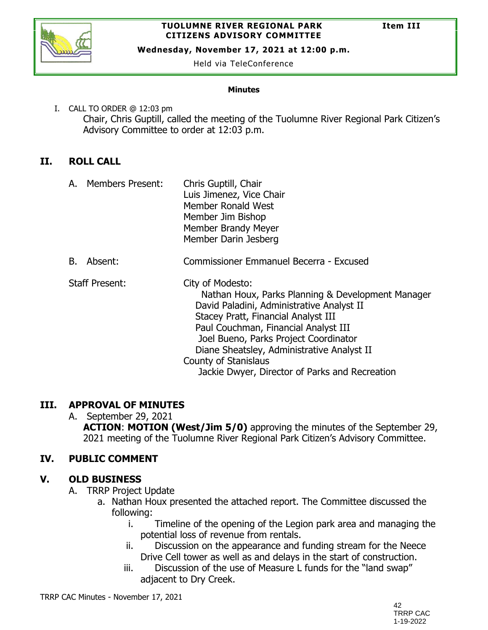

### **TUOLUMNE RIVER REGIONAL PARK ITEM III CITIZENS ADVISORY COMMITTEE**

**Wednesday, November 17, 2021 at 12:00 p.m.**

Held via TeleConference

### **Minutes**

I. CALL TO ORDER @ 12:03 pm Chair, Chris Guptill, called the meeting of the Tuolumne River Regional Park Citizen's Advisory Committee to order at 12:03 p.m.

# **II. ROLL CALL**

- A. Members Present: Chris Guptill, Chair Luis Jimenez, Vice Chair Member Ronald West Member Jim Bishop Member Brandy Meyer Member Darin Jesberg
- B. Absent: Commissioner Emmanuel Becerra Excused
- Staff Present: City of Modesto: Nathan Houx, Parks Planning & Development Manager David Paladini, Administrative Analyst II Stacey Pratt, Financial Analyst III Paul Couchman, Financial Analyst III Joel Bueno, Parks Project Coordinator Diane Sheatsley, Administrative Analyst II County of Stanislaus Jackie Dwyer, Director of Parks and Recreation

# **III. APPROVAL OF MINUTES**

A. September 29, 2021

**ACTION**: **MOTION (West/Jim 5/0)** approving the minutes of the September 29, 2021 meeting of the Tuolumne River Regional Park Citizen's Advisory Committee.

# **IV. PUBLIC COMMENT**

# **V. OLD BUSINESS**

- A. TRRP Project Update
	- a. Nathan Houx presented the attached report. The Committee discussed the following:
		- i. Timeline of the opening of the Legion park area and managing the potential loss of revenue from rentals.
		- ii. Discussion on the appearance and funding stream for the Neece Drive Cell tower as well as and delays in the start of construction.
		- iii. Discussion of the use of Measure L funds for the "land swap" adjacent to Dry Creek.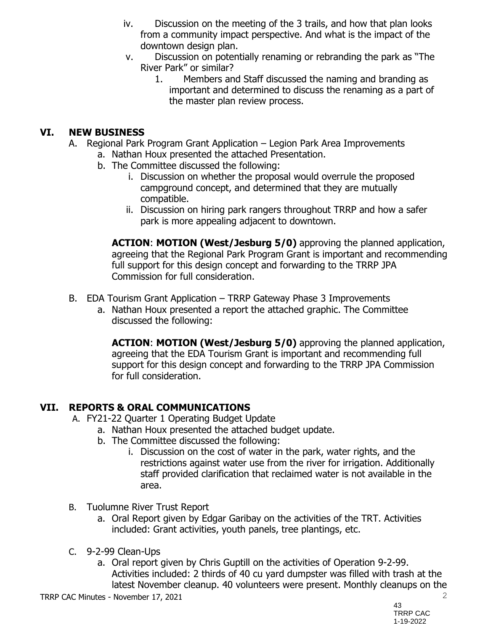- iv. Discussion on the meeting of the 3 trails, and how that plan looks from a community impact perspective. And what is the impact of the downtown design plan.
- v. Discussion on potentially renaming or rebranding the park as "The River Park" or similar?
	- 1. Members and Staff discussed the naming and branding as important and determined to discuss the renaming as a part of the master plan review process.

# **VI. NEW BUSINESS**

- A. Regional Park Program Grant Application Legion Park Area Improvements
	- a. Nathan Houx presented the attached Presentation.
	- b. The Committee discussed the following:
		- i. Discussion on whether the proposal would overrule the proposed campground concept, and determined that they are mutually compatible.
		- ii. Discussion on hiring park rangers throughout TRRP and how a safer park is more appealing adjacent to downtown.

**ACTION**: **MOTION (West/Jesburg 5/0)** approving the planned application, agreeing that the Regional Park Program Grant is important and recommending full support for this design concept and forwarding to the TRRP JPA Commission for full consideration.

- B. EDA Tourism Grant Application TRRP Gateway Phase 3 Improvements
	- a. Nathan Houx presented a report the attached graphic. The Committee discussed the following:

**ACTION**: **MOTION (West/Jesburg 5/0)** approving the planned application, agreeing that the EDA Tourism Grant is important and recommending full support for this design concept and forwarding to the TRRP JPA Commission for full consideration.

# **VII. REPORTS & ORAL COMMUNICATIONS**

- A. FY21-22 Quarter 1 Operating Budget Update
	- a. Nathan Houx presented the attached budget update.
	- b. The Committee discussed the following:
		- i. Discussion on the cost of water in the park, water rights, and the restrictions against water use from the river for irrigation. Additionally staff provided clarification that reclaimed water is not available in the area.
- B. Tuolumne River Trust Report
	- a. Oral Report given by Edgar Garibay on the activities of the TRT. Activities included: Grant activities, youth panels, tree plantings, etc.
- C. 9-2-99 Clean-Ups
	- a. Oral report given by Chris Guptill on the activities of Operation 9-2-99. Activities included: 2 thirds of 40 cu yard dumpster was filled with trash at the latest November cleanup. 40 volunteers were present. Monthly cleanups on the